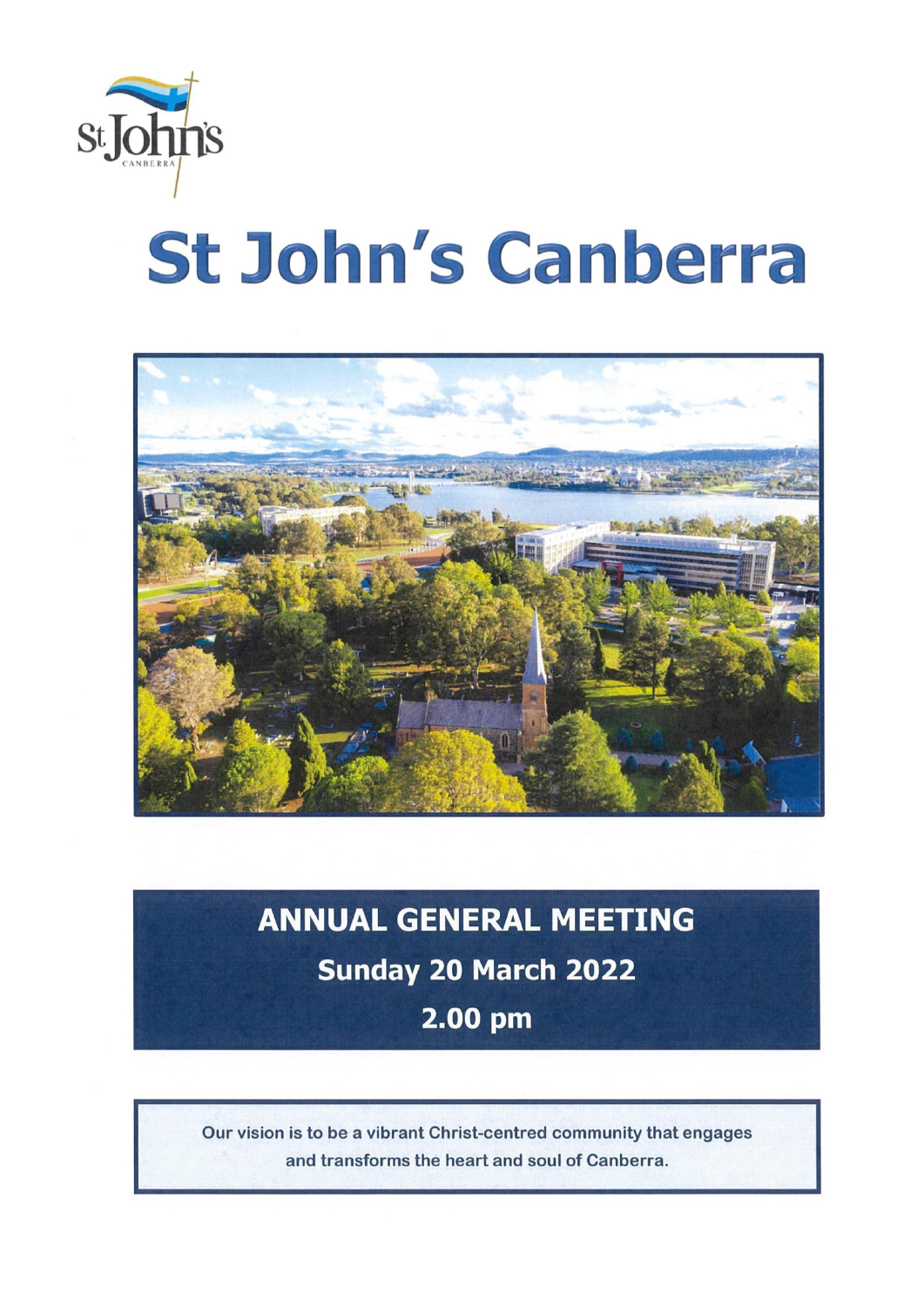

# St John's Canberra



## **ANNUAL GENERAL MEETING** Sunday 20 March 2022 2.00 pm

Our vision is to be a vibrant Christ-centred community that engages and transforms the heart and soul of Canberra.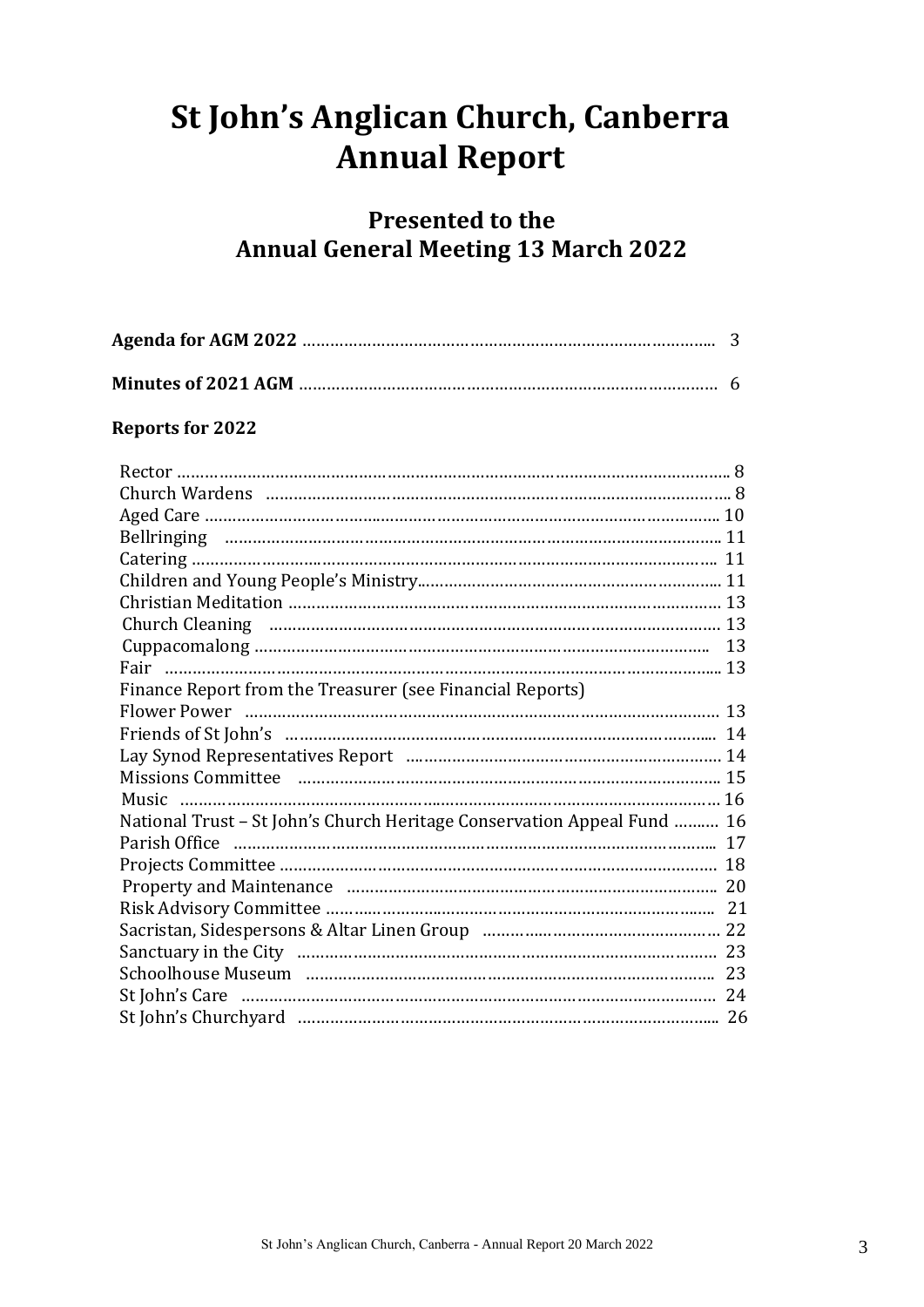## **St John's Anglican Church, Canberra Annual Report**

### **Presented to the Annual General Meeting 13 March 2022**

#### **Reports for 2022**

| Finance Report from the Treasurer (see Financial Reports)               |  |
|-------------------------------------------------------------------------|--|
|                                                                         |  |
| Friends of St John's manufactured and the contract of St John's         |  |
|                                                                         |  |
|                                                                         |  |
|                                                                         |  |
| National Trust - St John's Church Heritage Conservation Appeal Fund  16 |  |
|                                                                         |  |
|                                                                         |  |
|                                                                         |  |
|                                                                         |  |
|                                                                         |  |
|                                                                         |  |
|                                                                         |  |
|                                                                         |  |
|                                                                         |  |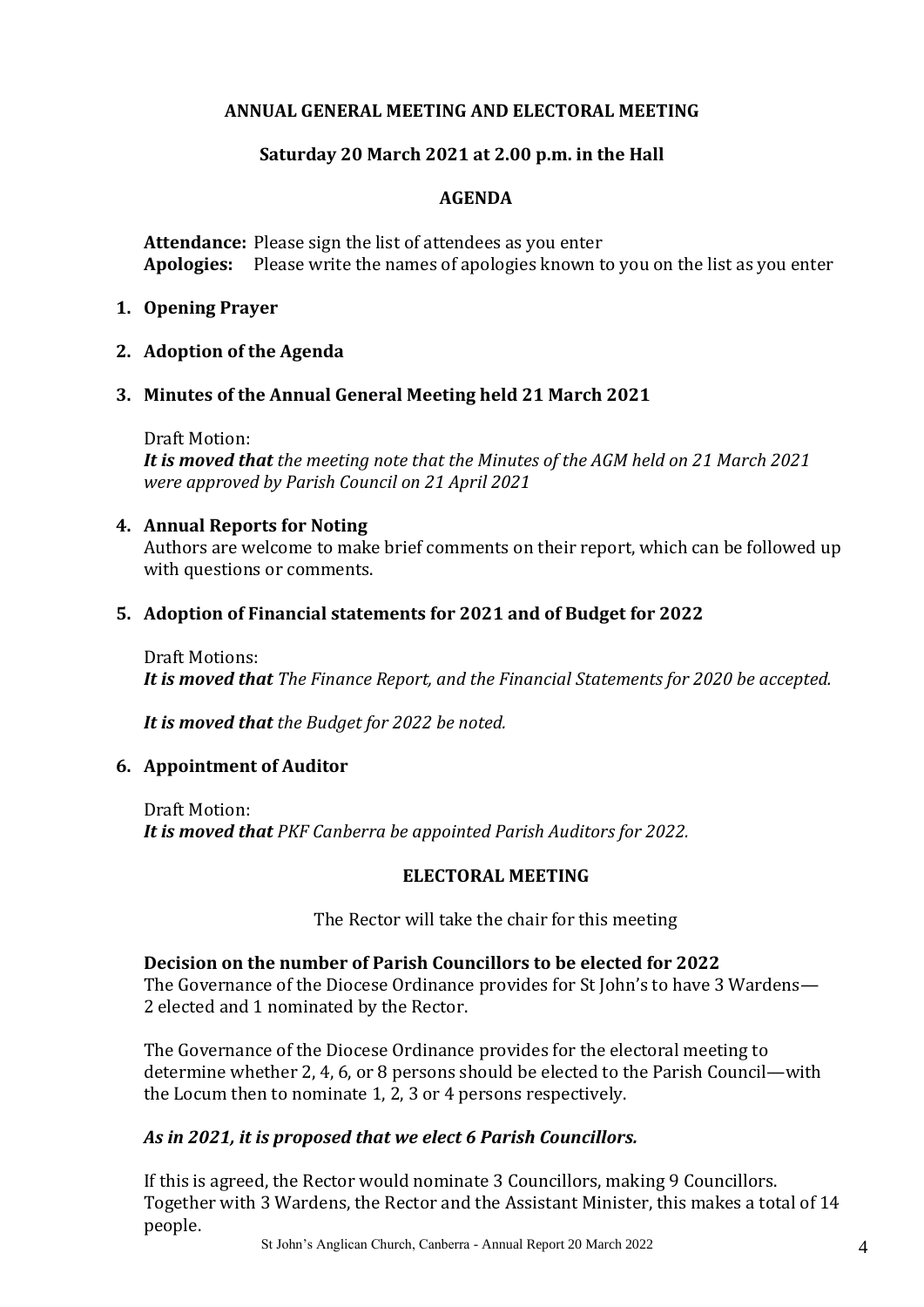#### **ANNUAL GENERAL MEETING AND ELECTORAL MEETING**

#### **Saturday 20 March 2021 at 2.00 p.m. in the Hall**

#### **AGENDA**

**Attendance:** Please sign the list of attendees as you enter **Apologies:** Please write the names of apologies known to you on the list as you enter

#### **1. Opening Prayer**

#### **2. Adoption of the Agenda**

#### **3. Minutes of the Annual General Meeting held 21 March 2021**

Draft Motion:

*It is moved that the meeting note that the Minutes of the AGM held on 21 March 2021 were approved by Parish Council on 21 April 2021*

#### **4. Annual Reports for Noting**

Authors are welcome to make brief comments on their report, which can be followed up with questions or comments.

#### **5. Adoption of Financial statements for 2021 and of Budget for 2022**

Draft Motions: *It is moved that The Finance Report, and the Financial Statements for 2020 be accepted.* 

*It is moved that the Budget for 2022 be noted.* 

#### **6. Appointment of Auditor**

Draft Motion: *It is moved that PKF Canberra be appointed Parish Auditors for 2022.* 

#### **ELECTORAL MEETING**

The Rector will take the chair for this meeting

#### **Decision on the number of Parish Councillors to be elected for 2022**

The Governance of the Diocese Ordinance provides for St John's to have 3 Wardens— 2 elected and 1 nominated by the Rector.

The Governance of the Diocese Ordinance provides for the electoral meeting to determine whether 2, 4, 6, or 8 persons should be elected to the Parish Council—with the Locum then to nominate 1, 2, 3 or 4 persons respectively.

#### *As in 2021, it is proposed that we elect 6 Parish Councillors.*

If this is agreed, the Rector would nominate 3 Councillors, making 9 Councillors. Together with 3 Wardens, the Rector and the Assistant Minister, this makes a total of 14 people.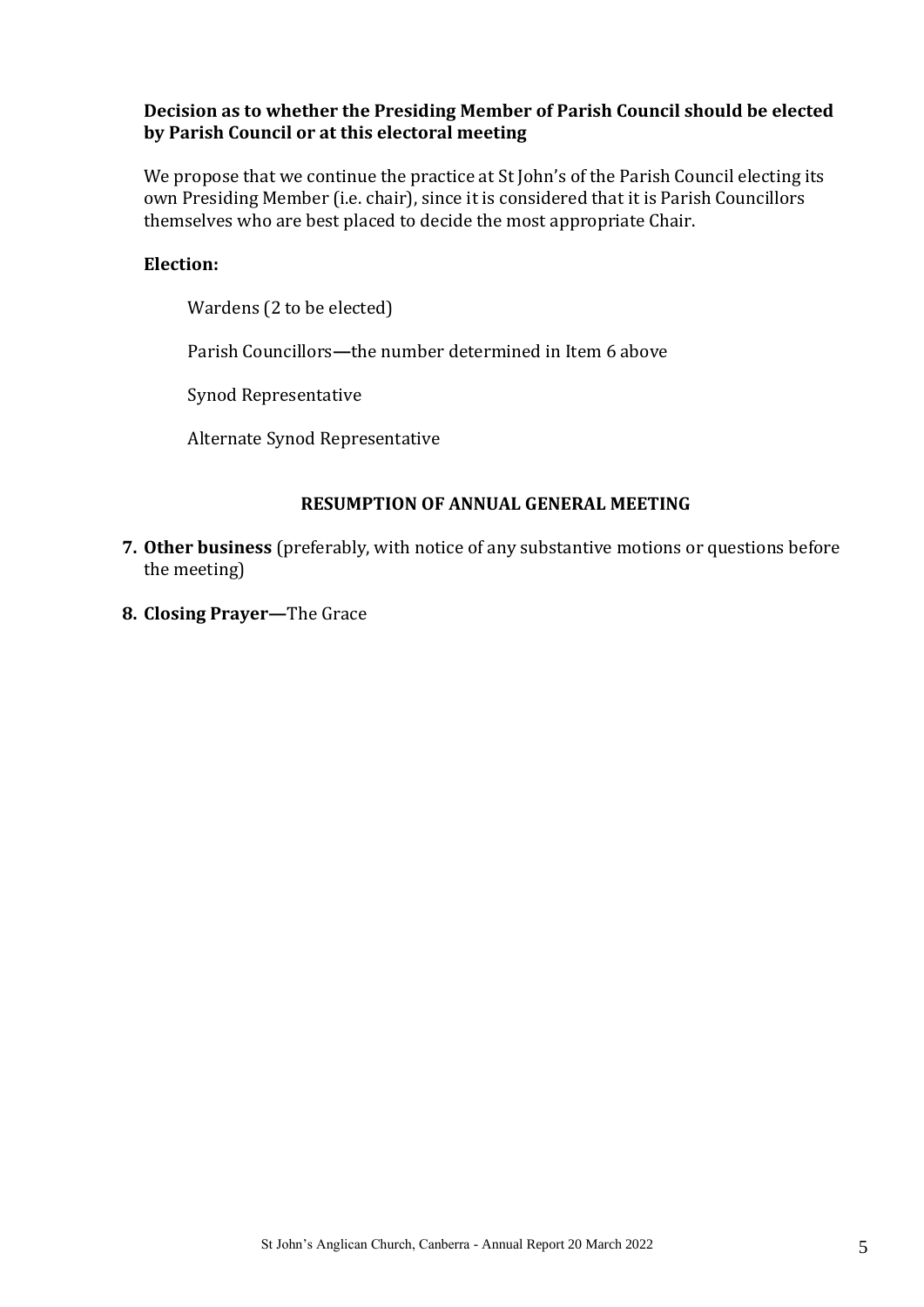#### **Decision as to whether the Presiding Member of Parish Council should be elected by Parish Council or at this electoral meeting**

We propose that we continue the practice at St John's of the Parish Council electing its own Presiding Member (i.e. chair), since it is considered that it is Parish Councillors themselves who are best placed to decide the most appropriate Chair.

#### **Election:**

Wardens (2 to be elected)

Parish Councillors**—**the number determined in Item 6 above

Synod Representative

Alternate Synod Representative

#### **RESUMPTION OF ANNUAL GENERAL MEETING**

- **7. Other business** (preferably, with notice of any substantive motions or questions before the meeting)
- **8. Closing Prayer—**The Grace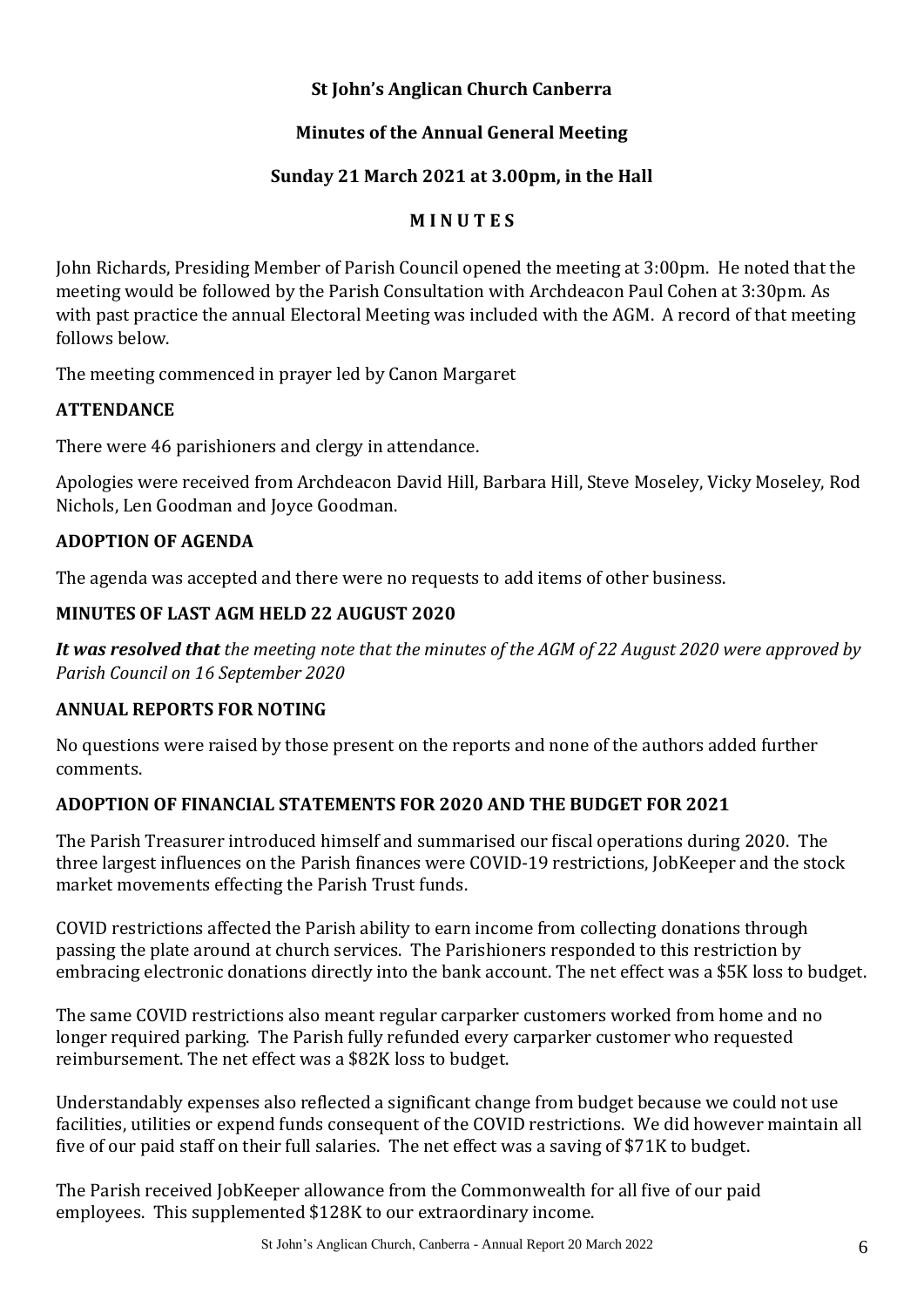#### **St John's Anglican Church Canberra**

#### **Minutes of the Annual General Meeting**

#### **Sunday 21 March 2021 at 3.00pm, in the Hall**

#### **M I N U T E S**

John Richards, Presiding Member of Parish Council opened the meeting at 3:00pm. He noted that the meeting would be followed by the Parish Consultation with Archdeacon Paul Cohen at 3:30pm. As with past practice the annual Electoral Meeting was included with the AGM. A record of that meeting follows below.

The meeting commenced in prayer led by Canon Margaret

#### **ATTENDANCE**

There were 46 parishioners and clergy in attendance.

Apologies were received from Archdeacon David Hill, Barbara Hill, Steve Moseley, Vicky Moseley, Rod Nichols, Len Goodman and Joyce Goodman.

#### **ADOPTION OF AGENDA**

The agenda was accepted and there were no requests to add items of other business.

#### **MINUTES OF LAST AGM HELD 22 AUGUST 2020**

*It was resolved that the meeting note that the minutes of the AGM of 22 August 2020 were approved by Parish Council on 16 September 2020*

#### **ANNUAL REPORTS FOR NOTING**

No questions were raised by those present on the reports and none of the authors added further comments.

#### **ADOPTION OF FINANCIAL STATEMENTS FOR 2020 AND THE BUDGET FOR 2021**

The Parish Treasurer introduced himself and summarised our fiscal operations during 2020. The three largest influences on the Parish finances were COVID-19 restrictions, JobKeeper and the stock market movements effecting the Parish Trust funds.

COVID restrictions affected the Parish ability to earn income from collecting donations through passing the plate around at church services. The Parishioners responded to this restriction by embracing electronic donations directly into the bank account. The net effect was a \$5K loss to budget.

The same COVID restrictions also meant regular carparker customers worked from home and no longer required parking. The Parish fully refunded every carparker customer who requested reimbursement. The net effect was a \$82K loss to budget.

Understandably expenses also reflected a significant change from budget because we could not use facilities, utilities or expend funds consequent of the COVID restrictions. We did however maintain all five of our paid staff on their full salaries. The net effect was a saving of \$71K to budget.

The Parish received JobKeeper allowance from the Commonwealth for all five of our paid employees. This supplemented \$128K to our extraordinary income.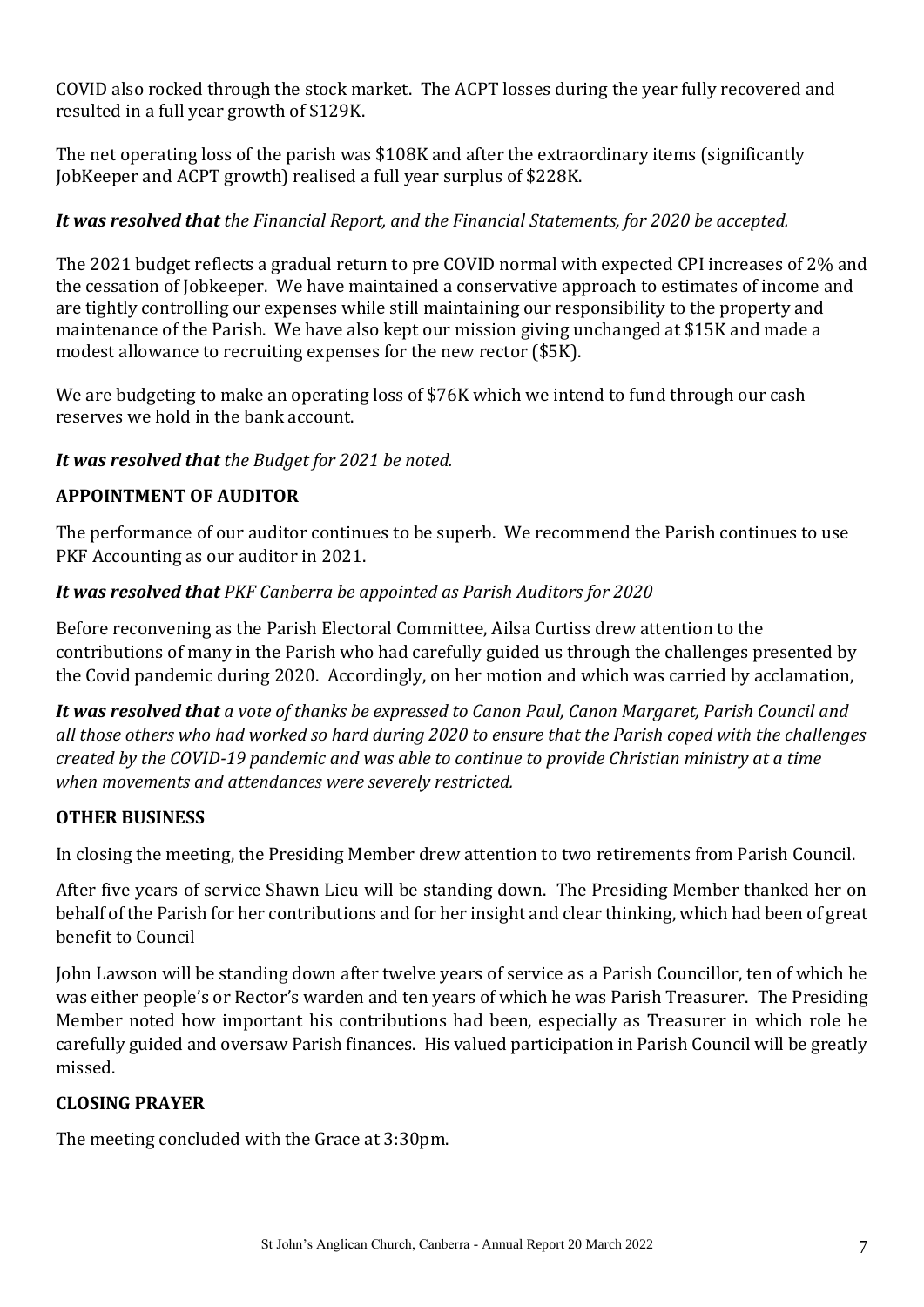COVID also rocked through the stock market. The ACPT losses during the year fully recovered and resulted in a full year growth of \$129K.

The net operating loss of the parish was \$108K and after the extraordinary items (significantly JobKeeper and ACPT growth) realised a full year surplus of \$228K.

#### *It was resolved that the Financial Report, and the Financial Statements, for 2020 be accepted.*

The 2021 budget reflects a gradual return to pre COVID normal with expected CPI increases of 2% and the cessation of Jobkeeper. We have maintained a conservative approach to estimates of income and are tightly controlling our expenses while still maintaining our responsibility to the property and maintenance of the Parish. We have also kept our mission giving unchanged at \$15K and made a modest allowance to recruiting expenses for the new rector (\$5K).

We are budgeting to make an operating loss of \$76K which we intend to fund through our cash reserves we hold in the bank account.

#### *It was resolved that the Budget for 2021 be noted.*

#### **APPOINTMENT OF AUDITOR**

The performance of our auditor continues to be superb. We recommend the Parish continues to use PKF Accounting as our auditor in 2021.

#### *It was resolved that PKF Canberra be appointed as Parish Auditors for 2020*

Before reconvening as the Parish Electoral Committee, Ailsa Curtiss drew attention to the contributions of many in the Parish who had carefully guided us through the challenges presented by the Covid pandemic during 2020. Accordingly, on her motion and which was carried by acclamation,

*It was resolved that a vote of thanks be expressed to Canon Paul, Canon Margaret, Parish Council and all those others who had worked so hard during 2020 to ensure that the Parish coped with the challenges created by the COVID-19 pandemic and was able to continue to provide Christian ministry at a time when movements and attendances were severely restricted.*

#### **OTHER BUSINESS**

In closing the meeting, the Presiding Member drew attention to two retirements from Parish Council.

After five years of service Shawn Lieu will be standing down. The Presiding Member thanked her on behalf of the Parish for her contributions and for her insight and clear thinking, which had been of great benefit to Council

John Lawson will be standing down after twelve years of service as a Parish Councillor, ten of which he was either people's or Rector's warden and ten years of which he was Parish Treasurer. The Presiding Member noted how important his contributions had been, especially as Treasurer in which role he carefully guided and oversaw Parish finances. His valued participation in Parish Council will be greatly missed.

#### **CLOSING PRAYER**

The meeting concluded with the Grace at 3:30pm.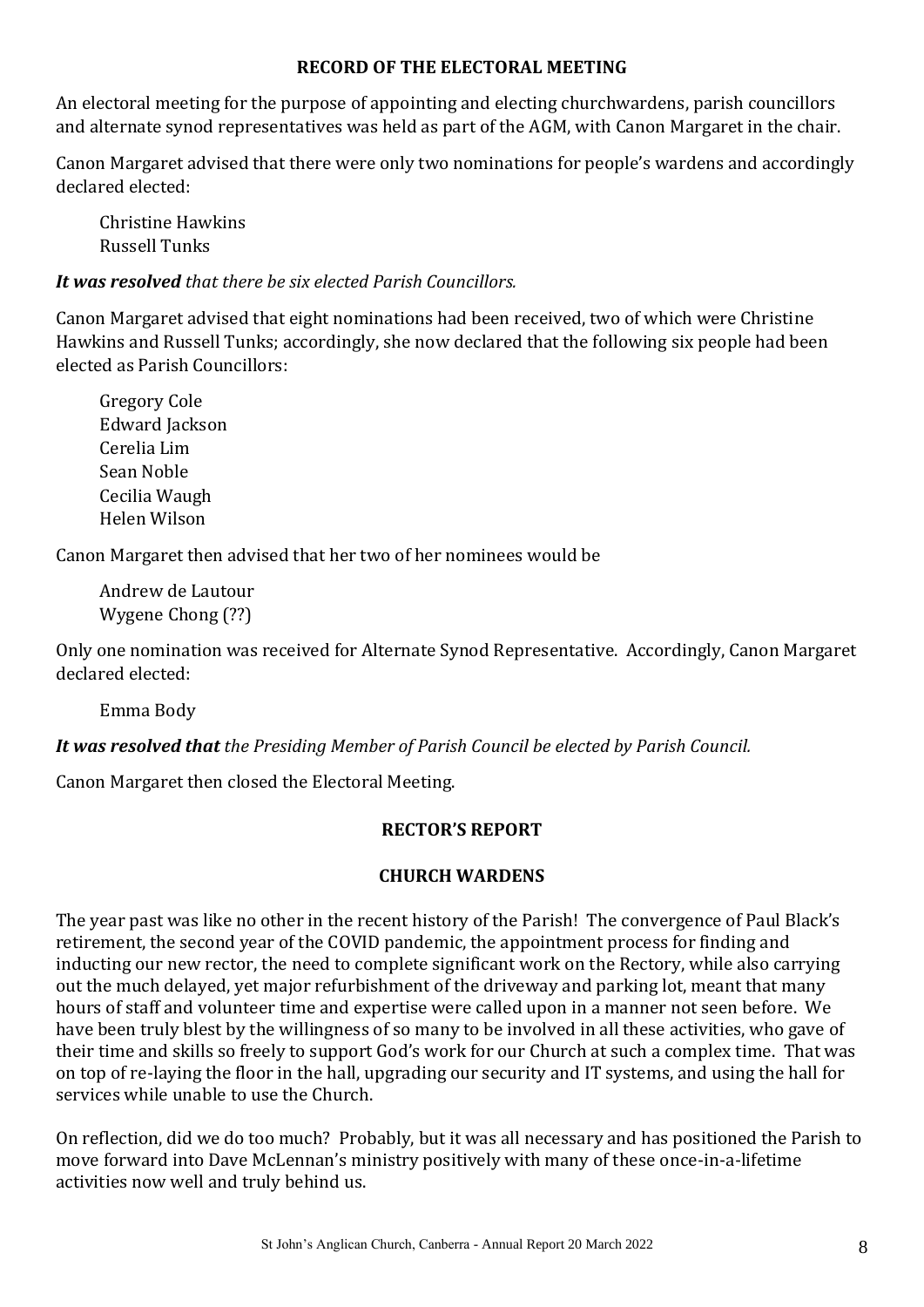#### **RECORD OF THE ELECTORAL MEETING**

An electoral meeting for the purpose of appointing and electing churchwardens, parish councillors and alternate synod representatives was held as part of the AGM, with Canon Margaret in the chair.

Canon Margaret advised that there were only two nominations for people's wardens and accordingly declared elected:

Christine Hawkins Russell Tunks

#### *It was resolved that there be six elected Parish Councillors.*

Canon Margaret advised that eight nominations had been received, two of which were Christine Hawkins and Russell Tunks; accordingly, she now declared that the following six people had been elected as Parish Councillors:

Gregory Cole Edward Jackson Cerelia Lim Sean Noble Cecilia Waugh Helen Wilson

Canon Margaret then advised that her two of her nominees would be

Andrew de Lautour Wygene Chong (??)

Only one nomination was received for Alternate Synod Representative. Accordingly, Canon Margaret declared elected:

Emma Body

*It was resolved that the Presiding Member of Parish Council be elected by Parish Council.*

Canon Margaret then closed the Electoral Meeting.

#### **RECTOR'S REPORT**

#### **CHURCH WARDENS**

The year past was like no other in the recent history of the Parish! The convergence of Paul Black's retirement, the second year of the COVID pandemic, the appointment process for finding and inducting our new rector, the need to complete significant work on the Rectory, while also carrying out the much delayed, yet major refurbishment of the driveway and parking lot, meant that many hours of staff and volunteer time and expertise were called upon in a manner not seen before. We have been truly blest by the willingness of so many to be involved in all these activities, who gave of their time and skills so freely to support God's work for our Church at such a complex time. That was on top of re-laying the floor in the hall, upgrading our security and IT systems, and using the hall for services while unable to use the Church.

On reflection, did we do too much? Probably, but it was all necessary and has positioned the Parish to move forward into Dave McLennan's ministry positively with many of these once-in-a-lifetime activities now well and truly behind us.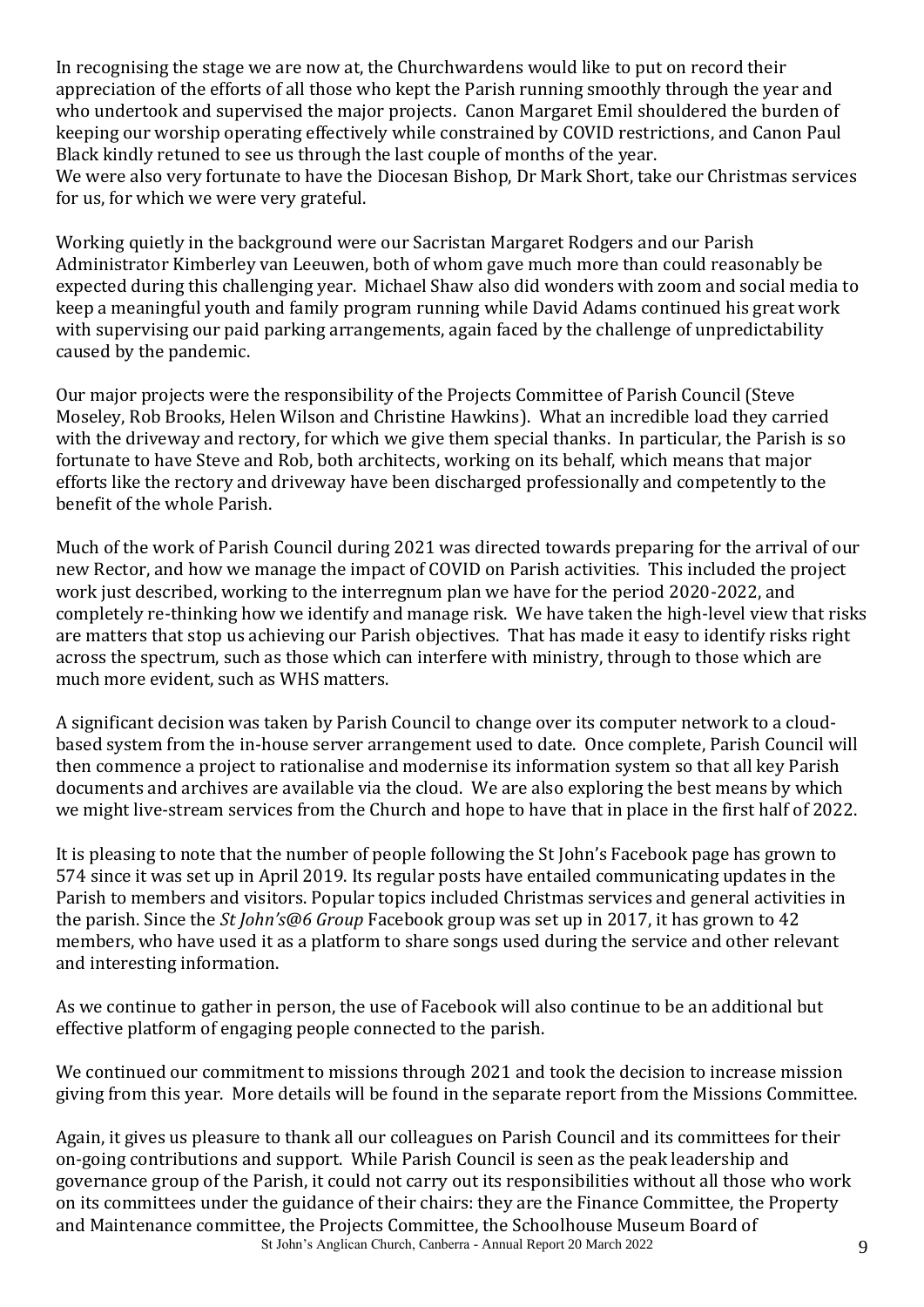In recognising the stage we are now at, the Churchwardens would like to put on record their appreciation of the efforts of all those who kept the Parish running smoothly through the year and who undertook and supervised the major projects. Canon Margaret Emil shouldered the burden of keeping our worship operating effectively while constrained by COVID restrictions, and Canon Paul Black kindly retuned to see us through the last couple of months of the year. We were also very fortunate to have the Diocesan Bishop, Dr Mark Short, take our Christmas services for us, for which we were very grateful.

Working quietly in the background were our Sacristan Margaret Rodgers and our Parish Administrator Kimberley van Leeuwen, both of whom gave much more than could reasonably be expected during this challenging year. Michael Shaw also did wonders with zoom and social media to keep a meaningful youth and family program running while David Adams continued his great work with supervising our paid parking arrangements, again faced by the challenge of unpredictability caused by the pandemic.

Our major projects were the responsibility of the Projects Committee of Parish Council (Steve Moseley, Rob Brooks, Helen Wilson and Christine Hawkins). What an incredible load they carried with the driveway and rectory, for which we give them special thanks. In particular, the Parish is so fortunate to have Steve and Rob, both architects, working on its behalf, which means that major efforts like the rectory and driveway have been discharged professionally and competently to the benefit of the whole Parish.

Much of the work of Parish Council during 2021 was directed towards preparing for the arrival of our new Rector, and how we manage the impact of COVID on Parish activities. This included the project work just described, working to the interregnum plan we have for the period 2020-2022, and completely re-thinking how we identify and manage risk. We have taken the high-level view that risks are matters that stop us achieving our Parish objectives. That has made it easy to identify risks right across the spectrum, such as those which can interfere with ministry, through to those which are much more evident, such as WHS matters.

A significant decision was taken by Parish Council to change over its computer network to a cloudbased system from the in-house server arrangement used to date. Once complete, Parish Council will then commence a project to rationalise and modernise its information system so that all key Parish documents and archives are available via the cloud. We are also exploring the best means by which we might live-stream services from the Church and hope to have that in place in the first half of 2022.

It is pleasing to note that the number of people following the St John's Facebook page has grown to 574 since it was set up in April 2019. Its regular posts have entailed communicating updates in the Parish to members and visitors. Popular topics included Christmas services and general activities in the parish. Since the *St John's@6 Group* Facebook group was set up in 2017, it has grown to 42 members, who have used it as a platform to share songs used during the service and other relevant and interesting information.

As we continue to gather in person, the use of Facebook will also continue to be an additional but effective platform of engaging people connected to the parish.

We continued our commitment to missions through 2021 and took the decision to increase mission giving from this year. More details will be found in the separate report from the Missions Committee.

St John's Anglican Church, Canberra - Annual Report 20 March 2022 9 Again, it gives us pleasure to thank all our colleagues on Parish Council and its committees for their on-going contributions and support. While Parish Council is seen as the peak leadership and governance group of the Parish, it could not carry out its responsibilities without all those who work on its committees under the guidance of their chairs: they are the Finance Committee, the Property and Maintenance committee, the Projects Committee, the Schoolhouse Museum Board of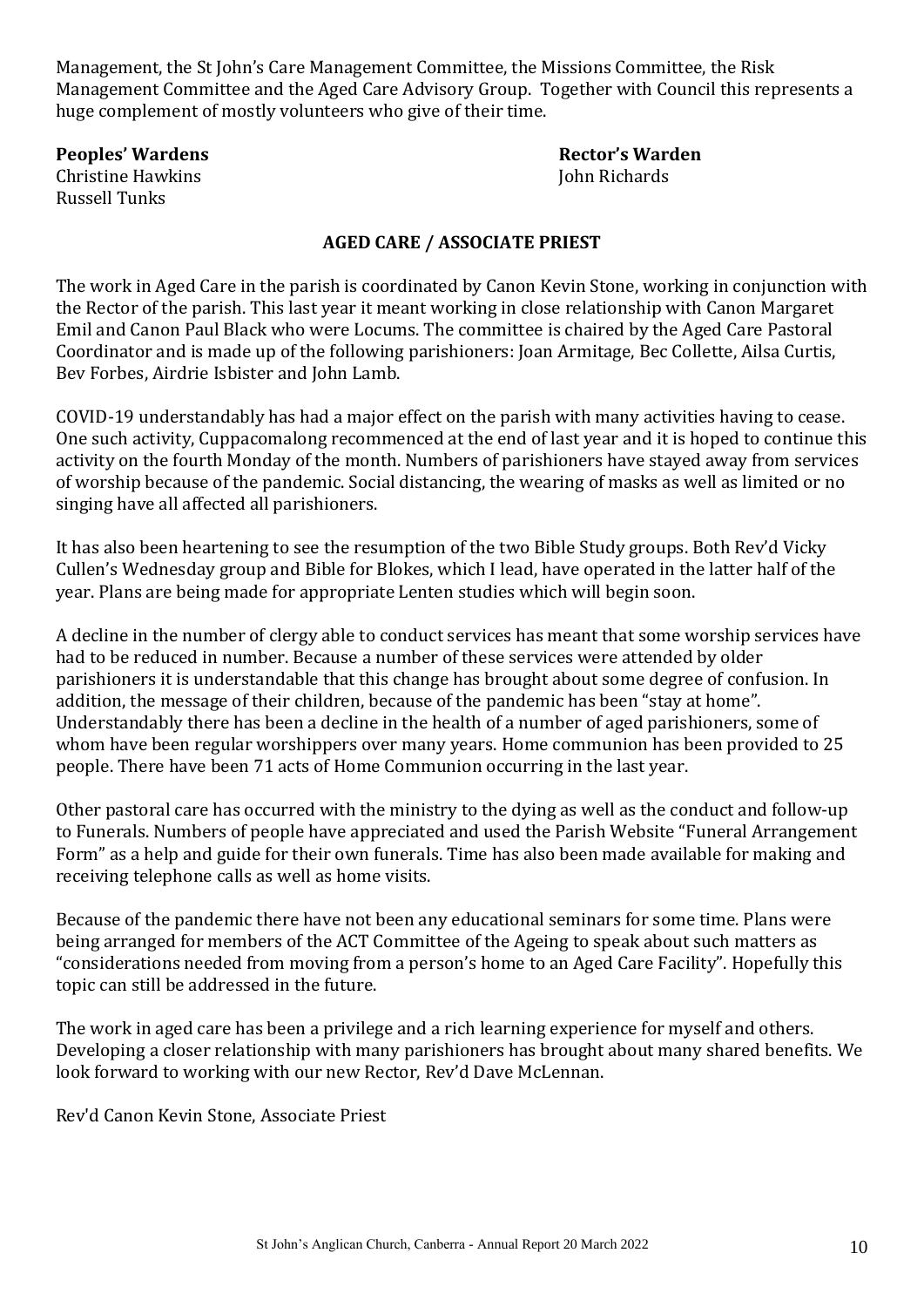Management, the St John's Care Management Committee, the Missions Committee, the Risk Management Committee and the Aged Care Advisory Group. Together with Council this represents a huge complement of mostly volunteers who give of their time.

Christine Hawkins **John Richards** Russell Tunks

**Peoples' Wardens Rector's Warden**

#### **AGED CARE / ASSOCIATE PRIEST**

The work in Aged Care in the parish is coordinated by Canon Kevin Stone, working in conjunction with the Rector of the parish. This last year it meant working in close relationship with Canon Margaret Emil and Canon Paul Black who were Locums. The committee is chaired by the Aged Care Pastoral Coordinator and is made up of the following parishioners: Joan Armitage, Bec Collette, Ailsa Curtis, Bev Forbes, Airdrie Isbister and John Lamb.

COVID-19 understandably has had a major effect on the parish with many activities having to cease. One such activity, Cuppacomalong recommenced at the end of last year and it is hoped to continue this activity on the fourth Monday of the month. Numbers of parishioners have stayed away from services of worship because of the pandemic. Social distancing, the wearing of masks as well as limited or no singing have all affected all parishioners.

It has also been heartening to see the resumption of the two Bible Study groups. Both Rev'd Vicky Cullen's Wednesday group and Bible for Blokes, which I lead, have operated in the latter half of the year. Plans are being made for appropriate Lenten studies which will begin soon.

A decline in the number of clergy able to conduct services has meant that some worship services have had to be reduced in number. Because a number of these services were attended by older parishioners it is understandable that this change has brought about some degree of confusion. In addition, the message of their children, because of the pandemic has been "stay at home". Understandably there has been a decline in the health of a number of aged parishioners, some of whom have been regular worshippers over many years. Home communion has been provided to 25 people. There have been 71 acts of Home Communion occurring in the last year.

Other pastoral care has occurred with the ministry to the dying as well as the conduct and follow-up to Funerals. Numbers of people have appreciated and used the Parish Website "Funeral Arrangement Form" as a help and guide for their own funerals. Time has also been made available for making and receiving telephone calls as well as home visits.

Because of the pandemic there have not been any educational seminars for some time. Plans were being arranged for members of the ACT Committee of the Ageing to speak about such matters as "considerations needed from moving from a person's home to an Aged Care Facility". Hopefully this topic can still be addressed in the future.

The work in aged care has been a privilege and a rich learning experience for myself and others. Developing a closer relationship with many parishioners has brought about many shared benefits. We look forward to working with our new Rector, Rev'd Dave McLennan.

Rev'd Canon Kevin Stone, Associate Priest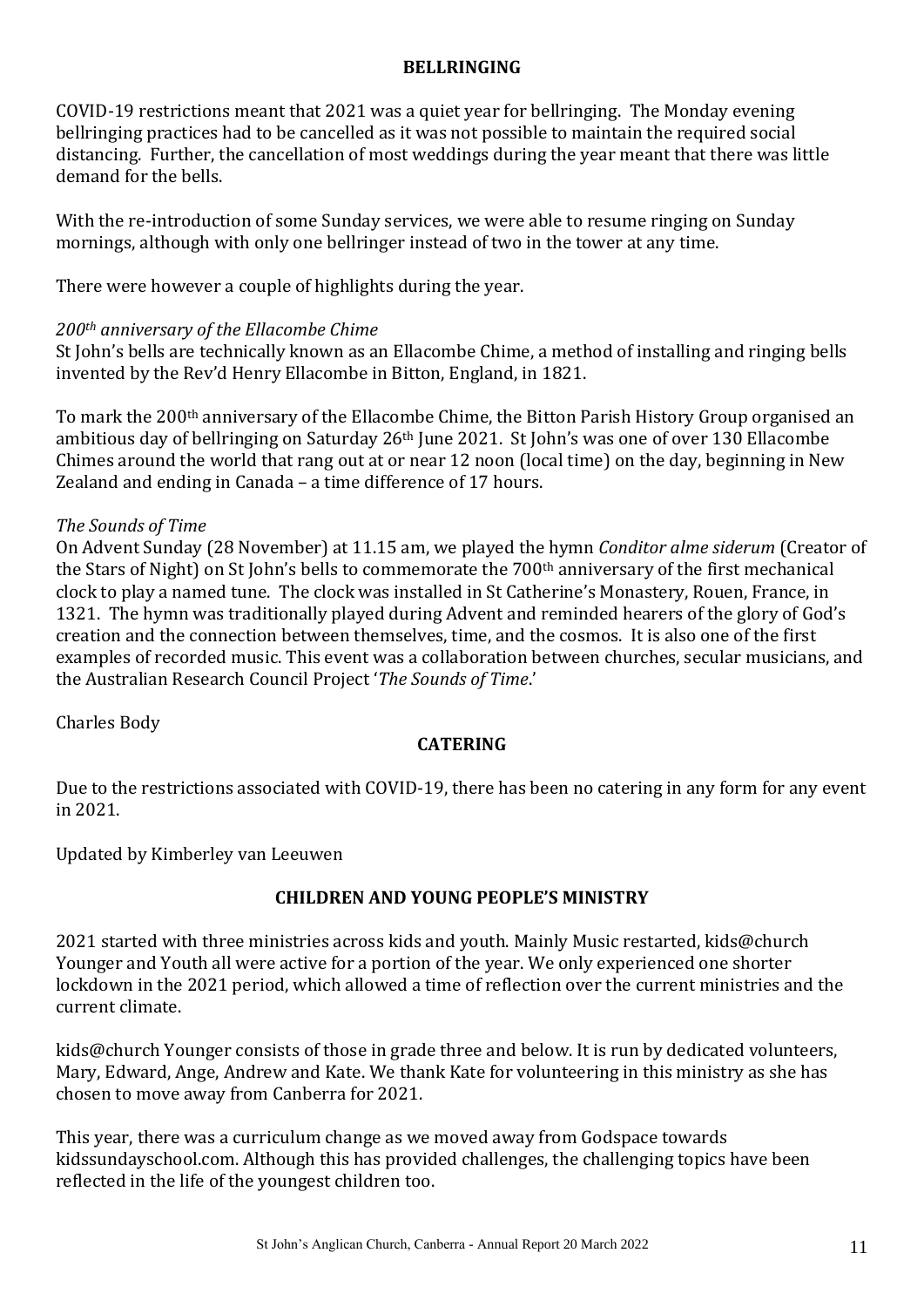#### **BELLRINGING**

COVID-19 restrictions meant that 2021 was a quiet year for bellringing. The Monday evening bellringing practices had to be cancelled as it was not possible to maintain the required social distancing. Further, the cancellation of most weddings during the year meant that there was little demand for the bells.

With the re-introduction of some Sunday services, we were able to resume ringing on Sunday mornings, although with only one bellringer instead of two in the tower at any time.

There were however a couple of highlights during the year.

#### *200th anniversary of the Ellacombe Chime*

St John's bells are technically known as an Ellacombe Chime, a method of installing and ringing bells invented by the Rev'd Henry Ellacombe in Bitton, England, in 1821.

To mark the 200th anniversary of the Ellacombe Chime, the Bitton Parish History Group organised an ambitious day of bellringing on Saturday 26<sup>th</sup> June 2021. St John's was one of over 130 Ellacombe Chimes around the world that rang out at or near 12 noon (local time) on the day, beginning in New Zealand and ending in Canada – a time difference of 17 hours.

#### *The Sounds of Time*

On Advent Sunday (28 November) at 11.15 am, we played the hymn *Conditor alme siderum* (Creator of the Stars of Night) on St John's bells to commemorate the 700th anniversary of the first mechanical clock to play a named tune. The clock was installed in St Catherine's Monastery, Rouen, France, in 1321. The hymn was traditionally played during Advent and reminded hearers of the glory of God's creation and the connection between themselves, time, and the cosmos. It is also one of the first examples of recorded music. This event was a collaboration between churches, secular musicians, and the Australian Research Council Project '*The Sounds of Time*.'

Charles Body

#### **CATERING**

Due to the restrictions associated with COVID-19, there has been no catering in any form for any event in 2021.

Updated by Kimberley van Leeuwen

#### **CHILDREN AND YOUNG PEOPLE'S MINISTRY**

2021 started with three ministries across kids and youth. Mainly Music restarted, kids@church Younger and Youth all were active for a portion of the year. We only experienced one shorter lockdown in the 2021 period, which allowed a time of reflection over the current ministries and the current climate.

kids@church Younger consists of those in grade three and below. It is run by dedicated volunteers, Mary, Edward, Ange, Andrew and Kate. We thank Kate for volunteering in this ministry as she has chosen to move away from Canberra for 2021.

This year, there was a curriculum change as we moved away from Godspace towards kidssundayschool.com. Although this has provided challenges, the challenging topics have been reflected in the life of the youngest children too.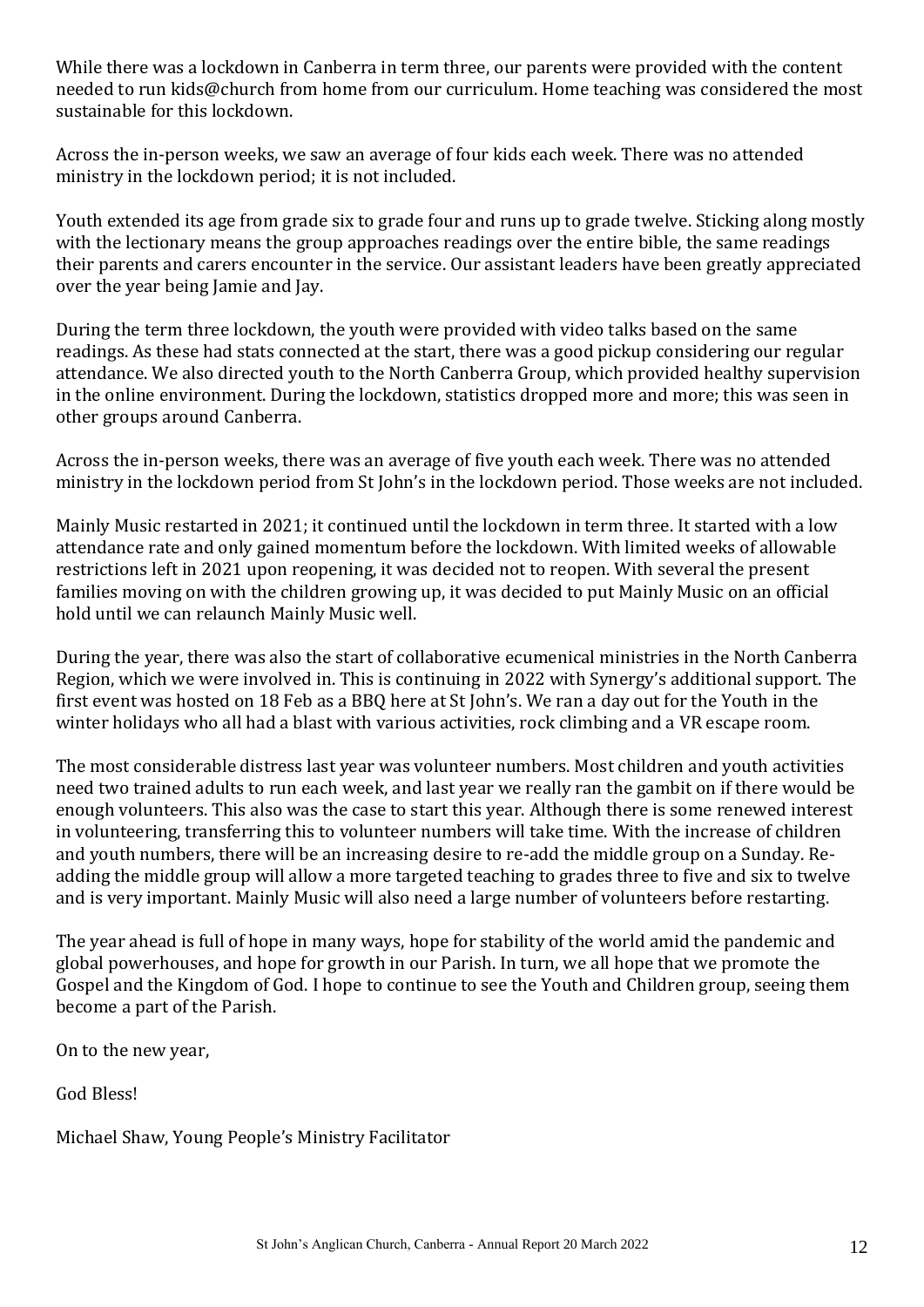While there was a lockdown in Canberra in term three, our parents were provided with the content needed to run kids@church from home from our curriculum. Home teaching was considered the most sustainable for this lockdown.

Across the in-person weeks, we saw an average of four kids each week. There was no attended ministry in the lockdown period; it is not included.

Youth extended its age from grade six to grade four and runs up to grade twelve. Sticking along mostly with the lectionary means the group approaches readings over the entire bible, the same readings their parents and carers encounter in the service. Our assistant leaders have been greatly appreciated over the year being Jamie and Jay.

During the term three lockdown, the youth were provided with video talks based on the same readings. As these had stats connected at the start, there was a good pickup considering our regular attendance. We also directed youth to the North Canberra Group, which provided healthy supervision in the online environment. During the lockdown, statistics dropped more and more; this was seen in other groups around Canberra.

Across the in-person weeks, there was an average of five youth each week. There was no attended ministry in the lockdown period from St John's in the lockdown period. Those weeks are not included.

Mainly Music restarted in 2021; it continued until the lockdown in term three. It started with a low attendance rate and only gained momentum before the lockdown. With limited weeks of allowable restrictions left in 2021 upon reopening, it was decided not to reopen. With several the present families moving on with the children growing up, it was decided to put Mainly Music on an official hold until we can relaunch Mainly Music well.

During the year, there was also the start of collaborative ecumenical ministries in the North Canberra Region, which we were involved in. This is continuing in 2022 with Synergy's additional support. The first event was hosted on 18 Feb as a BBQ here at St John's. We ran a day out for the Youth in the winter holidays who all had a blast with various activities, rock climbing and a VR escape room.

The most considerable distress last year was volunteer numbers. Most children and youth activities need two trained adults to run each week, and last year we really ran the gambit on if there would be enough volunteers. This also was the case to start this year. Although there is some renewed interest in volunteering, transferring this to volunteer numbers will take time. With the increase of children and youth numbers, there will be an increasing desire to re-add the middle group on a Sunday. Readding the middle group will allow a more targeted teaching to grades three to five and six to twelve and is very important. Mainly Music will also need a large number of volunteers before restarting.

The year ahead is full of hope in many ways, hope for stability of the world amid the pandemic and global powerhouses, and hope for growth in our Parish. In turn, we all hope that we promote the Gospel and the Kingdom of God. I hope to continue to see the Youth and Children group, seeing them become a part of the Parish.

On to the new year,

God Bless!

Michael Shaw, Young People's Ministry Facilitator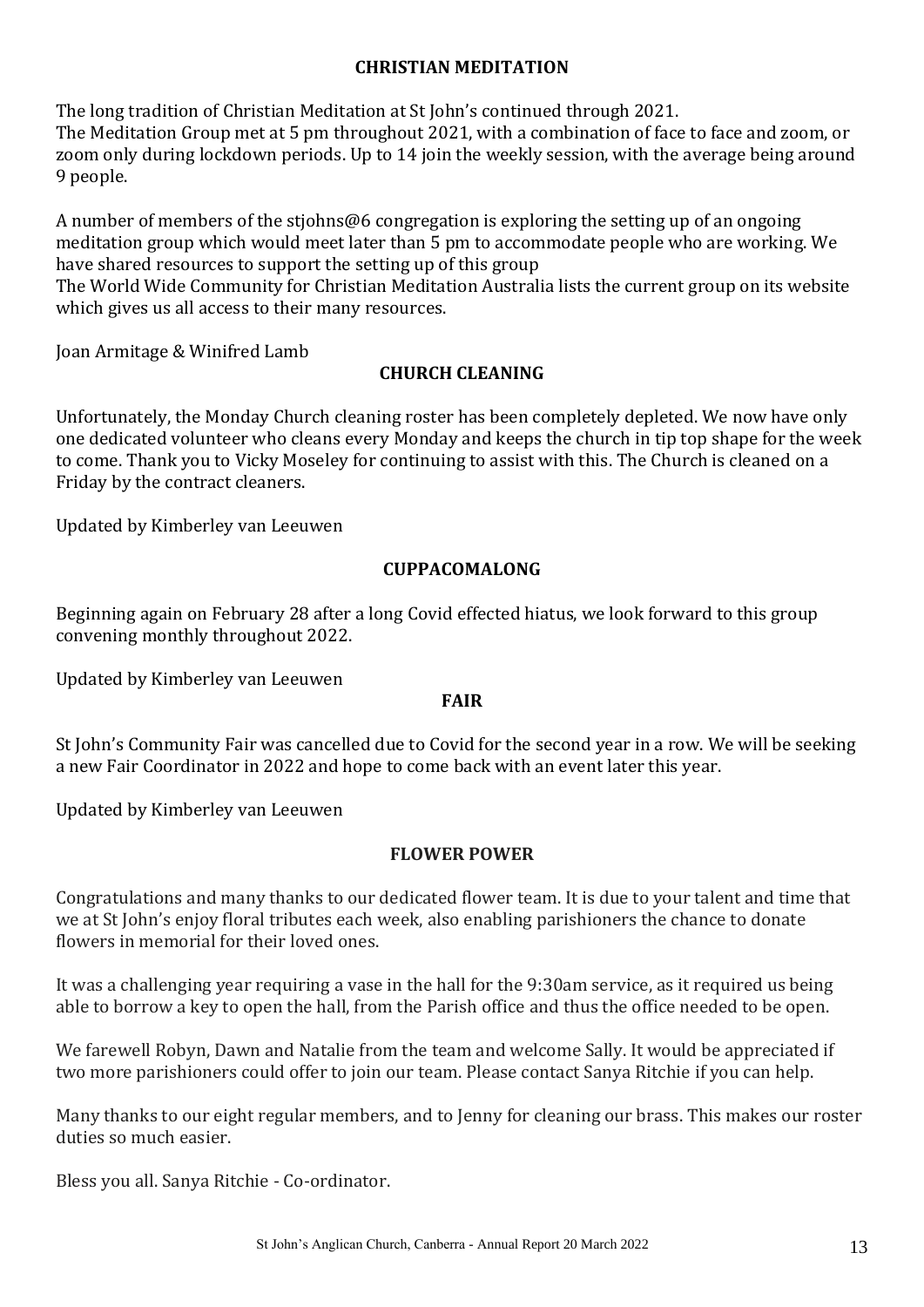#### **CHRISTIAN MEDITATION**

The long tradition of Christian Meditation at St John's continued through 2021.

The Meditation Group met at 5 pm throughout 2021, with a combination of face to face and zoom, or zoom only during lockdown periods. Up to 14 join the weekly session, with the average being around 9 people.

A number of members of the stjohns@6 congregation is exploring the setting up of an ongoing meditation group which would meet later than 5 pm to accommodate people who are working. We have shared resources to support the setting up of this group

The World Wide Community for Christian Meditation Australia lists the current group on its website which gives us all access to their many resources.

Joan Armitage & Winifred Lamb

#### **CHURCH CLEANING**

Unfortunately, the Monday Church cleaning roster has been completely depleted. We now have only one dedicated volunteer who cleans every Monday and keeps the church in tip top shape for the week to come. Thank you to Vicky Moseley for continuing to assist with this. The Church is cleaned on a Friday by the contract cleaners.

Updated by Kimberley van Leeuwen

#### **CUPPACOMALONG**

Beginning again on February 28 after a long Covid effected hiatus, we look forward to this group convening monthly throughout 2022.

Updated by Kimberley van Leeuwen

#### **FAIR**

St John's Community Fair was cancelled due to Covid for the second year in a row. We will be seeking a new Fair Coordinator in 2022 and hope to come back with an event later this year.

Updated by Kimberley van Leeuwen

#### **FLOWER POWER**

Congratulations and many thanks to our dedicated flower team. It is due to your talent and time that we at St John's enjoy floral tributes each week, also enabling parishioners the chance to donate flowers in memorial for their loved ones.

It was a challenging year requiring a vase in the hall for the 9:30am service, as it required us being able to borrow a key to open the hall, from the Parish office and thus the office needed to be open.

We farewell Robyn, Dawn and Natalie from the team and welcome Sally. It would be appreciated if two more parishioners could offer to join our team. Please contact Sanya Ritchie if you can help.

Many thanks to our eight regular members, and to Jenny for cleaning our brass. This makes our roster duties so much easier.

Bless you all. Sanya Ritchie - Co-ordinator.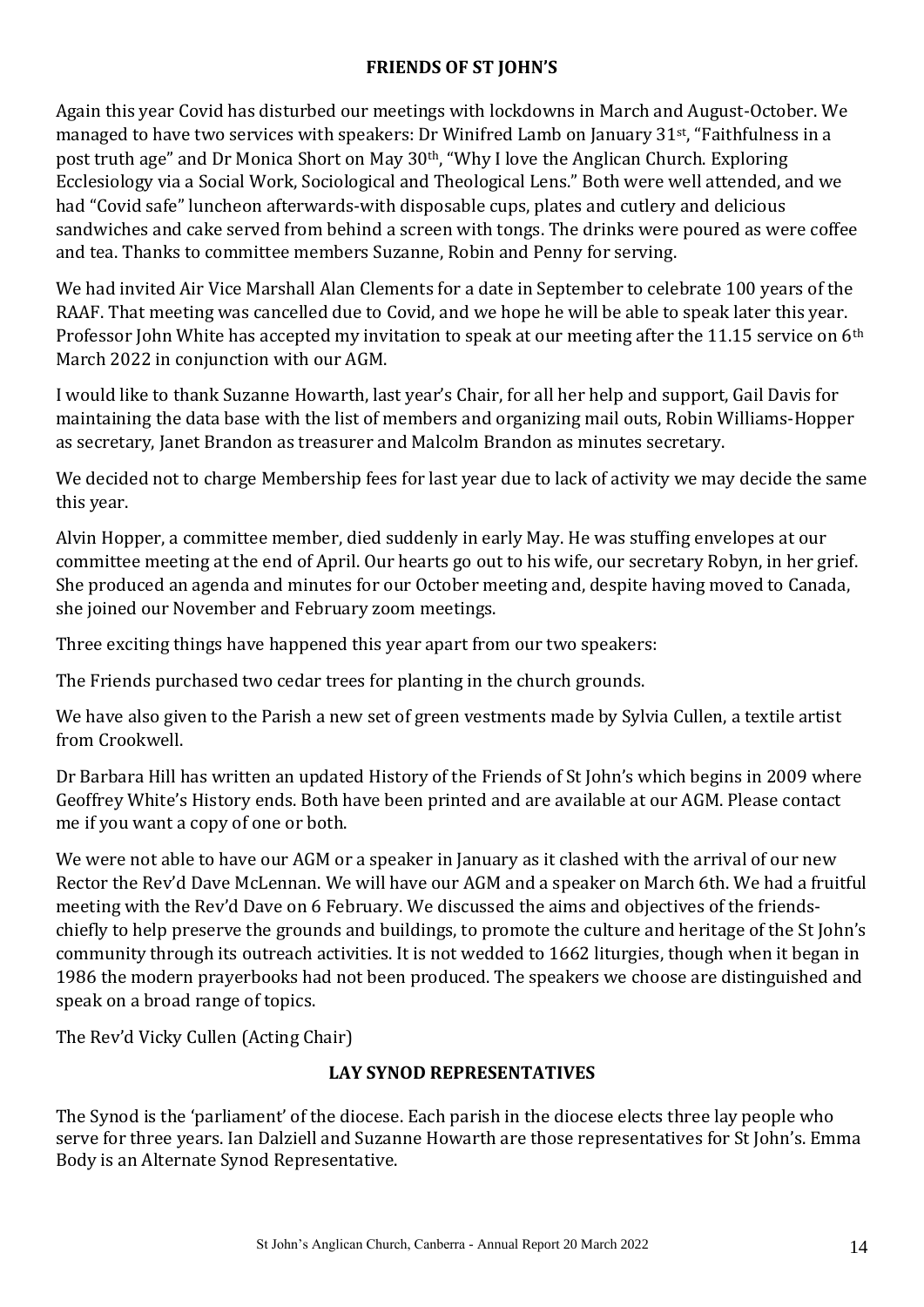#### **FRIENDS OF ST JOHN'S**

Again this year Covid has disturbed our meetings with lockdowns in March and August-October. We managed to have two services with speakers: Dr Winifred Lamb on January 31st, "Faithfulness in a post truth age" and Dr Monica Short on May 30<sup>th</sup>, "Why I love the Anglican Church. Exploring Ecclesiology via a Social Work, Sociological and Theological Lens." Both were well attended, and we had "Covid safe" luncheon afterwards-with disposable cups, plates and cutlery and delicious sandwiches and cake served from behind a screen with tongs. The drinks were poured as were coffee and tea. Thanks to committee members Suzanne, Robin and Penny for serving.

We had invited Air Vice Marshall Alan Clements for a date in September to celebrate 100 years of the RAAF. That meeting was cancelled due to Covid, and we hope he will be able to speak later this year. Professor John White has accepted my invitation to speak at our meeting after the 11.15 service on 6<sup>th</sup> March 2022 in conjunction with our AGM.

I would like to thank Suzanne Howarth, last year's Chair, for all her help and support, Gail Davis for maintaining the data base with the list of members and organizing mail outs, Robin Williams-Hopper as secretary, Janet Brandon as treasurer and Malcolm Brandon as minutes secretary.

We decided not to charge Membership fees for last year due to lack of activity we may decide the same this year.

Alvin Hopper, a committee member, died suddenly in early May. He was stuffing envelopes at our committee meeting at the end of April. Our hearts go out to his wife, our secretary Robyn, in her grief. She produced an agenda and minutes for our October meeting and, despite having moved to Canada, she joined our November and February zoom meetings.

Three exciting things have happened this year apart from our two speakers:

The Friends purchased two cedar trees for planting in the church grounds.

We have also given to the Parish a new set of green vestments made by Sylvia Cullen, a textile artist from Crookwell.

Dr Barbara Hill has written an updated History of the Friends of St John's which begins in 2009 where Geoffrey White's History ends. Both have been printed and are available at our AGM. Please contact me if you want a copy of one or both.

We were not able to have our AGM or a speaker in January as it clashed with the arrival of our new Rector the Rev'd Dave McLennan. We will have our AGM and a speaker on March 6th. We had a fruitful meeting with the Rev'd Dave on 6 February. We discussed the aims and objectives of the friendschiefly to help preserve the grounds and buildings, to promote the culture and heritage of the St John's community through its outreach activities. It is not wedded to 1662 liturgies, though when it began in 1986 the modern prayerbooks had not been produced. The speakers we choose are distinguished and speak on a broad range of topics.

The Rev'd Vicky Cullen (Acting Chair)

#### **LAY SYNOD REPRESENTATIVES**

The Synod is the 'parliament' of the diocese. Each parish in the diocese elects three lay people who serve for three years. Ian Dalziell and Suzanne Howarth are those representatives for St John's. Emma Body is an Alternate Synod Representative.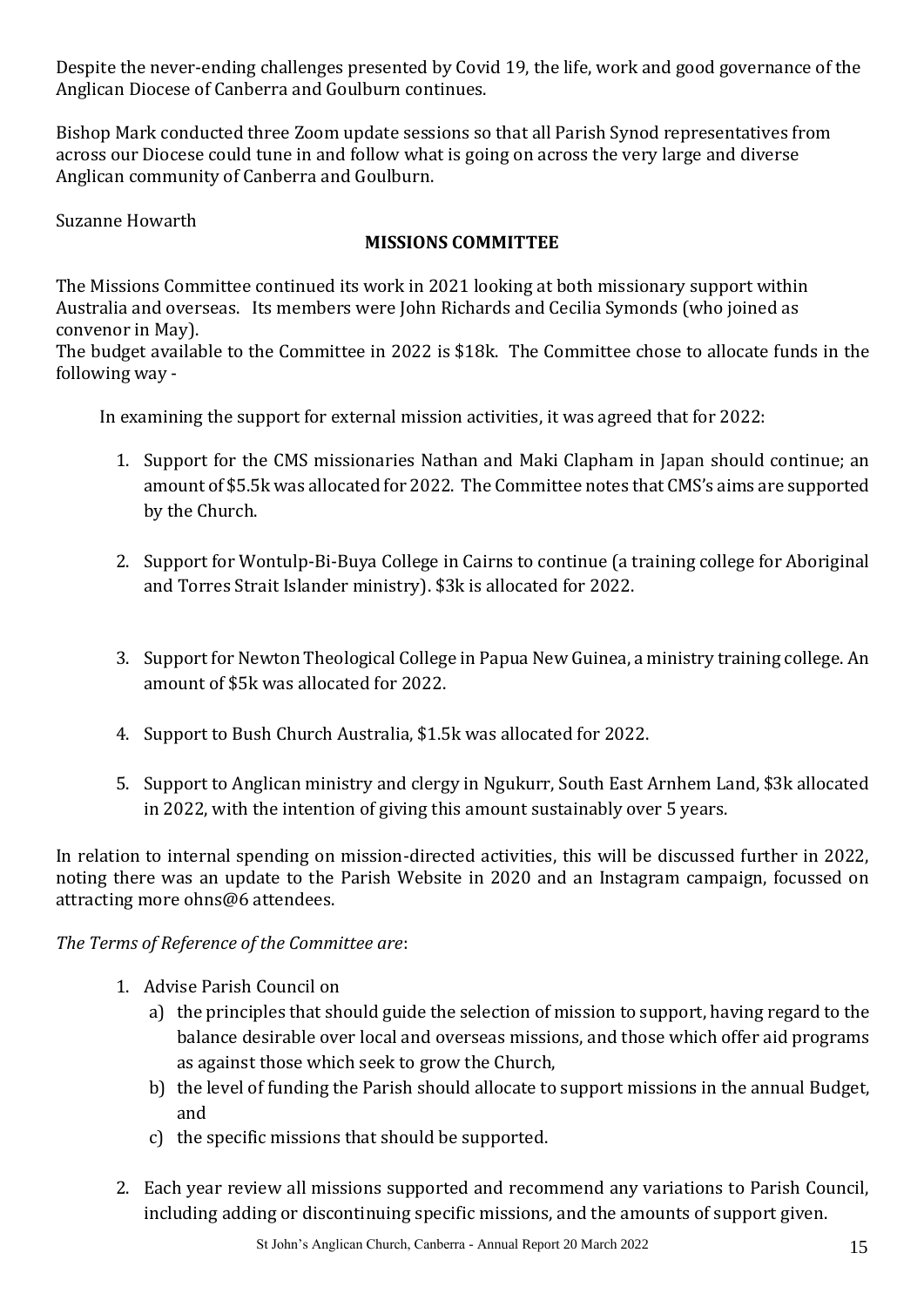Despite the never-ending challenges presented by Covid 19, the life, work and good governance of the Anglican Diocese of Canberra and Goulburn continues.

Bishop Mark conducted three Zoom update sessions so that all Parish Synod representatives from across our Diocese could tune in and follow what is going on across the very large and diverse Anglican community of Canberra and Goulburn.

Suzanne Howarth

#### **MISSIONS COMMITTEE**

The Missions Committee continued its work in 2021 looking at both missionary support within Australia and overseas. Its members were John Richards and Cecilia Symonds (who joined as convenor in May).

The budget available to the Committee in 2022 is \$18k. The Committee chose to allocate funds in the following way -

In examining the support for external mission activities, it was agreed that for 2022:

- 1. Support for the CMS missionaries Nathan and Maki Clapham in Japan should continue; an amount of \$5.5k was allocated for 2022. The Committee notes that CMS's aims are supported by the Church.
- 2. Support for Wontulp-Bi-Buya College in Cairns to continue (a training college for Aboriginal and Torres Strait Islander ministry). \$3k is allocated for 2022.
- 3. Support for Newton Theological College in Papua New Guinea, a ministry training college. An amount of \$5k was allocated for 2022.
- 4. Support to Bush Church Australia, \$1.5k was allocated for 2022.
- 5. Support to Anglican ministry and clergy in Ngukurr, South East Arnhem Land, \$3k allocated in 2022, with the intention of giving this amount sustainably over 5 years.

In relation to internal spending on mission-directed activities, this will be discussed further in 2022, noting there was an update to the Parish Website in 2020 and an Instagram campaign, focussed on attracting more ohns@6 attendees.

#### *The Terms of Reference of the Committee are*:

- 1. Advise Parish Council on
	- a) the principles that should guide the selection of mission to support, having regard to the balance desirable over local and overseas missions, and those which offer aid programs as against those which seek to grow the Church,
	- b) the level of funding the Parish should allocate to support missions in the annual Budget, and
	- c) the specific missions that should be supported.
- 2. Each year review all missions supported and recommend any variations to Parish Council, including adding or discontinuing specific missions, and the amounts of support given.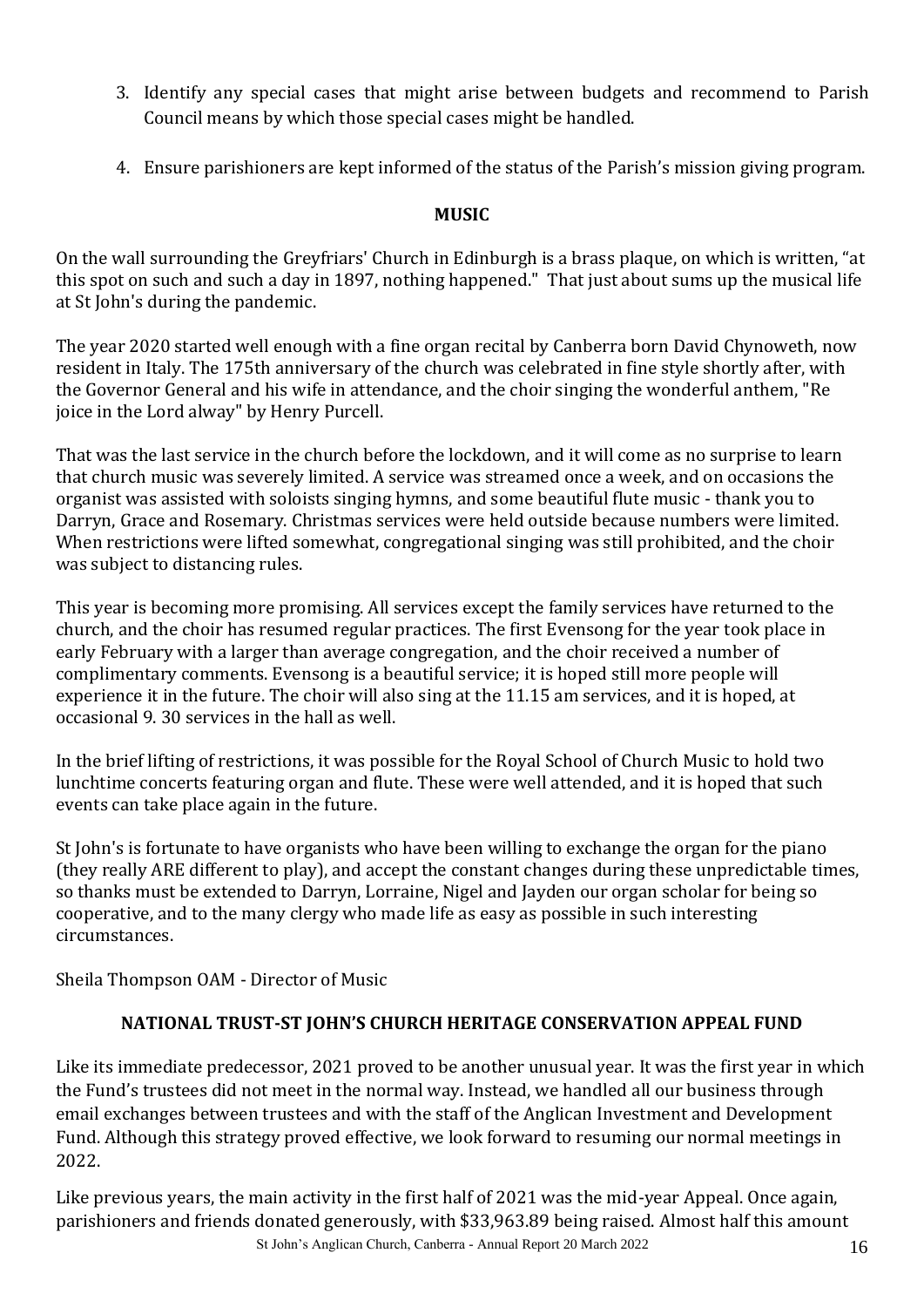- 3. Identify any special cases that might arise between budgets and recommend to Parish Council means by which those special cases might be handled.
- 4. Ensure parishioners are kept informed of the status of the Parish's mission giving program.

#### **MUSIC**

On the wall surrounding the Greyfriars' Church in Edinburgh is a brass plaque, on which is written, "at this spot on such and such a day in 1897, nothing happened." That just about sums up the musical life at St John's during the pandemic.

The year 2020 started well enough with a fine organ recital by Canberra born David Chynoweth, now resident in Italy. The 175th anniversary of the church was celebrated in fine style shortly after, with the Governor General and his wife in attendance, and the choir singing the wonderful anthem, "Re joice in the Lord alway" by Henry Purcell.

That was the last service in the church before the lockdown, and it will come as no surprise to learn that church music was severely limited. A service was streamed once a week, and on occasions the organist was assisted with soloists singing hymns, and some beautiful flute music - thank you to Darryn, Grace and Rosemary. Christmas services were held outside because numbers were limited. When restrictions were lifted somewhat, congregational singing was still prohibited, and the choir was subject to distancing rules.

This year is becoming more promising. All services except the family services have returned to the church, and the choir has resumed regular practices. The first Evensong for the year took place in early February with a larger than average congregation, and the choir received a number of complimentary comments. Evensong is a beautiful service; it is hoped still more people will experience it in the future. The choir will also sing at the 11.15 am services, and it is hoped, at occasional 9. 30 services in the hall as well.

In the brief lifting of restrictions, it was possible for the Royal School of Church Music to hold two lunchtime concerts featuring organ and flute. These were well attended, and it is hoped that such events can take place again in the future.

St John's is fortunate to have organists who have been willing to exchange the organ for the piano (they really ARE different to play), and accept the constant changes during these unpredictable times, so thanks must be extended to Darryn, Lorraine, Nigel and Jayden our organ scholar for being so cooperative, and to the many clergy who made life as easy as possible in such interesting circumstances.

Sheila Thompson OAM - Director of Music

#### **NATIONAL TRUST-ST JOHN'S CHURCH HERITAGE CONSERVATION APPEAL FUND**

Like its immediate predecessor, 2021 proved to be another unusual year. It was the first year in which the Fund's trustees did not meet in the normal way. Instead, we handled all our business through email exchanges between trustees and with the staff of the Anglican Investment and Development Fund. Although this strategy proved effective, we look forward to resuming our normal meetings in 2022.

St John's Anglican Church, Canberra - Annual Report 20 March 2022 16 Like previous years, the main activity in the first half of 2021 was the mid-year Appeal. Once again, parishioners and friends donated generously, with \$33,963.89 being raised. Almost half this amount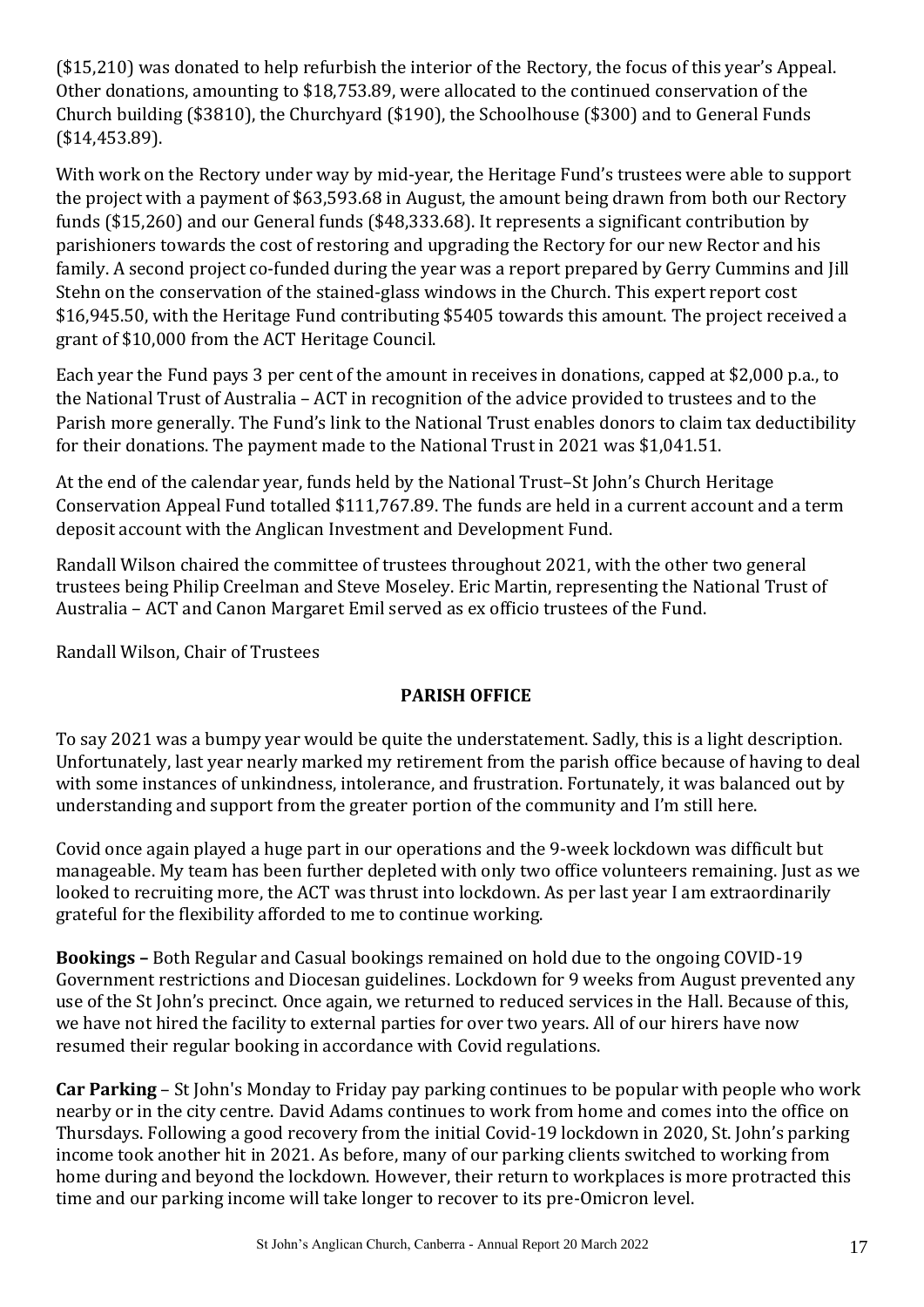(\$15,210) was donated to help refurbish the interior of the Rectory, the focus of this year's Appeal. Other donations, amounting to \$18,753.89, were allocated to the continued conservation of the Church building (\$3810), the Churchyard (\$190), the Schoolhouse (\$300) and to General Funds (\$14,453.89).

With work on the Rectory under way by mid-year, the Heritage Fund's trustees were able to support the project with a payment of \$63,593.68 in August, the amount being drawn from both our Rectory funds (\$15,260) and our General funds (\$48,333.68). It represents a significant contribution by parishioners towards the cost of restoring and upgrading the Rectory for our new Rector and his family. A second project co-funded during the year was a report prepared by Gerry Cummins and Jill Stehn on the conservation of the stained-glass windows in the Church. This expert report cost \$16,945.50, with the Heritage Fund contributing \$5405 towards this amount. The project received a grant of \$10,000 from the ACT Heritage Council.

Each year the Fund pays 3 per cent of the amount in receives in donations, capped at \$2,000 p.a., to the National Trust of Australia – ACT in recognition of the advice provided to trustees and to the Parish more generally. The Fund's link to the National Trust enables donors to claim tax deductibility for their donations. The payment made to the National Trust in 2021 was \$1,041.51.

At the end of the calendar year, funds held by the National Trust–St John's Church Heritage Conservation Appeal Fund totalled \$111,767.89. The funds are held in a current account and a term deposit account with the Anglican Investment and Development Fund.

Randall Wilson chaired the committee of trustees throughout 2021, with the other two general trustees being Philip Creelman and Steve Moseley. Eric Martin, representing the National Trust of Australia – ACT and Canon Margaret Emil served as ex officio trustees of the Fund.

Randall Wilson, Chair of Trustees

#### **PARISH OFFICE**

To say 2021 was a bumpy year would be quite the understatement. Sadly, this is a light description. Unfortunately, last year nearly marked my retirement from the parish office because of having to deal with some instances of unkindness, intolerance, and frustration. Fortunately, it was balanced out by understanding and support from the greater portion of the community and I'm still here.

Covid once again played a huge part in our operations and the 9-week lockdown was difficult but manageable. My team has been further depleted with only two office volunteers remaining. Just as we looked to recruiting more, the ACT was thrust into lockdown. As per last year I am extraordinarily grateful for the flexibility afforded to me to continue working.

**Bookings –** Both Regular and Casual bookings remained on hold due to the ongoing COVID-19 Government restrictions and Diocesan guidelines. Lockdown for 9 weeks from August prevented any use of the St John's precinct. Once again, we returned to reduced services in the Hall. Because of this, we have not hired the facility to external parties for over two years. All of our hirers have now resumed their regular booking in accordance with Covid regulations.

**Car Parking** – St John's Monday to Friday pay parking continues to be popular with people who work nearby or in the city centre. David Adams continues to work from home and comes into the office on Thursdays. Following a good recovery from the initial Covid-19 lockdown in 2020, St. John's parking income took another hit in 2021. As before, many of our parking clients switched to working from home during and beyond the lockdown. However, their return to workplaces is more protracted this time and our parking income will take longer to recover to its pre-Omicron level.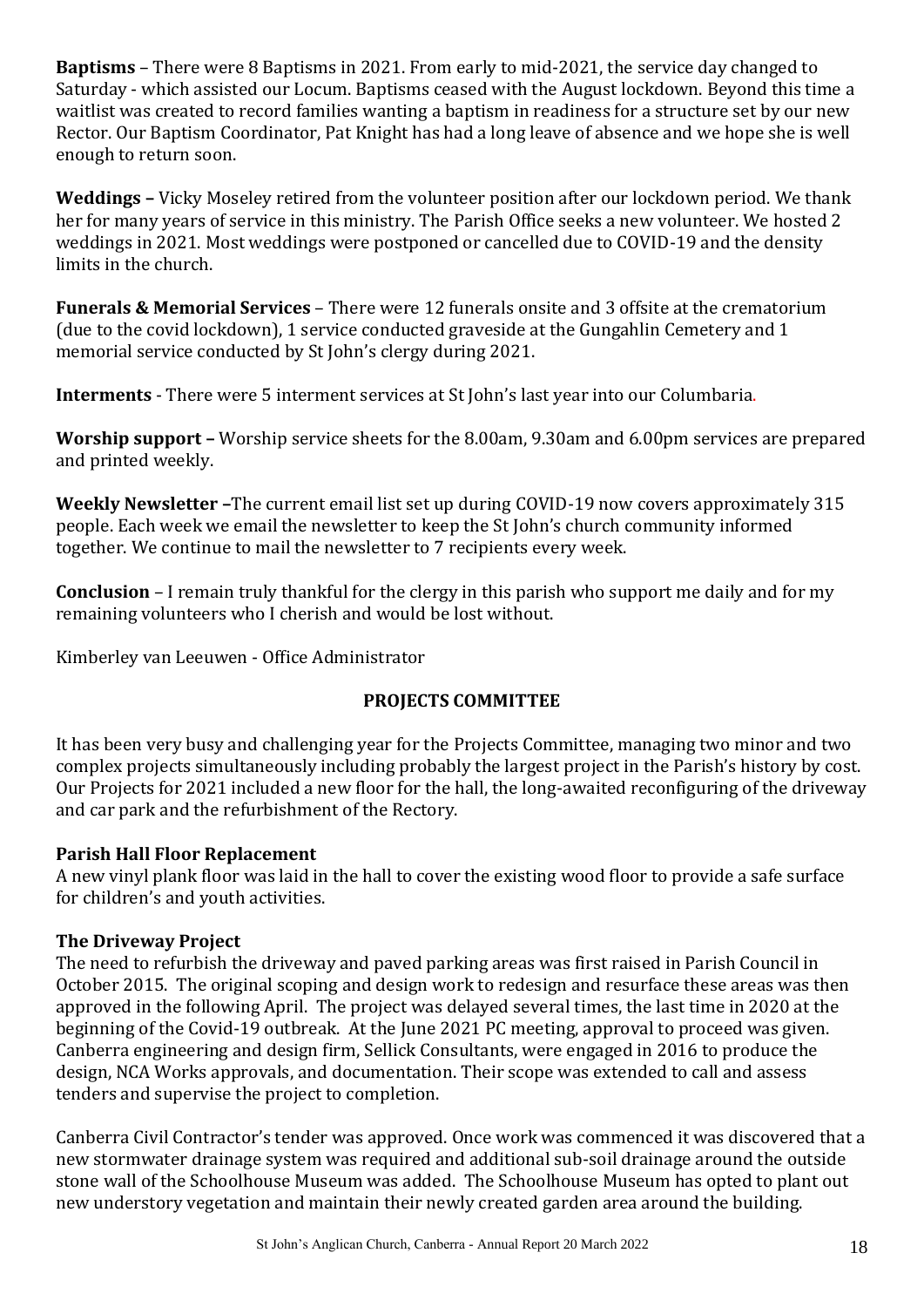**Baptisms** – There were 8 Baptisms in 2021. From early to mid-2021, the service day changed to Saturday - which assisted our Locum. Baptisms ceased with the August lockdown. Beyond this time a waitlist was created to record families wanting a baptism in readiness for a structure set by our new Rector. Our Baptism Coordinator, Pat Knight has had a long leave of absence and we hope she is well enough to return soon.

**Weddings –** Vicky Moseley retired from the volunteer position after our lockdown period. We thank her for many years of service in this ministry. The Parish Office seeks a new volunteer. We hosted 2 weddings in 2021. Most weddings were postponed or cancelled due to COVID-19 and the density limits in the church.

**Funerals & Memorial Services** – There were 12 funerals onsite and 3 offsite at the crematorium (due to the covid lockdown), 1 service conducted graveside at the Gungahlin Cemetery and 1 memorial service conducted by St John's clergy during 2021.

**Interments** - There were 5 interment services at St John's last year into our Columbaria.

**Worship support –** Worship service sheets for the 8.00am, 9.30am and 6.00pm services are prepared and printed weekly.

**Weekly Newsletter –**The current email list set up during COVID-19 now covers approximately 315 people. Each week we email the newsletter to keep the St John's church community informed together. We continue to mail the newsletter to 7 recipients every week.

**Conclusion** – I remain truly thankful for the clergy in this parish who support me daily and for my remaining volunteers who I cherish and would be lost without.

Kimberley van Leeuwen - Office Administrator

#### **PROJECTS COMMITTEE**

It has been very busy and challenging year for the Projects Committee, managing two minor and two complex projects simultaneously including probably the largest project in the Parish's history by cost. Our Projects for 2021 included a new floor for the hall, the long-awaited reconfiguring of the driveway and car park and the refurbishment of the Rectory.

#### **Parish Hall Floor Replacement**

A new vinyl plank floor was laid in the hall to cover the existing wood floor to provide a safe surface for children's and youth activities.

#### **The Driveway Project**

The need to refurbish the driveway and paved parking areas was first raised in Parish Council in October 2015. The original scoping and design work to redesign and resurface these areas was then approved in the following April. The project was delayed several times, the last time in 2020 at the beginning of the Covid-19 outbreak. At the June 2021 PC meeting, approval to proceed was given. Canberra engineering and design firm, Sellick Consultants, were engaged in 2016 to produce the design, NCA Works approvals, and documentation. Their scope was extended to call and assess tenders and supervise the project to completion.

Canberra Civil Contractor's tender was approved. Once work was commenced it was discovered that a new stormwater drainage system was required and additional sub-soil drainage around the outside stone wall of the Schoolhouse Museum was added. The Schoolhouse Museum has opted to plant out new understory vegetation and maintain their newly created garden area around the building.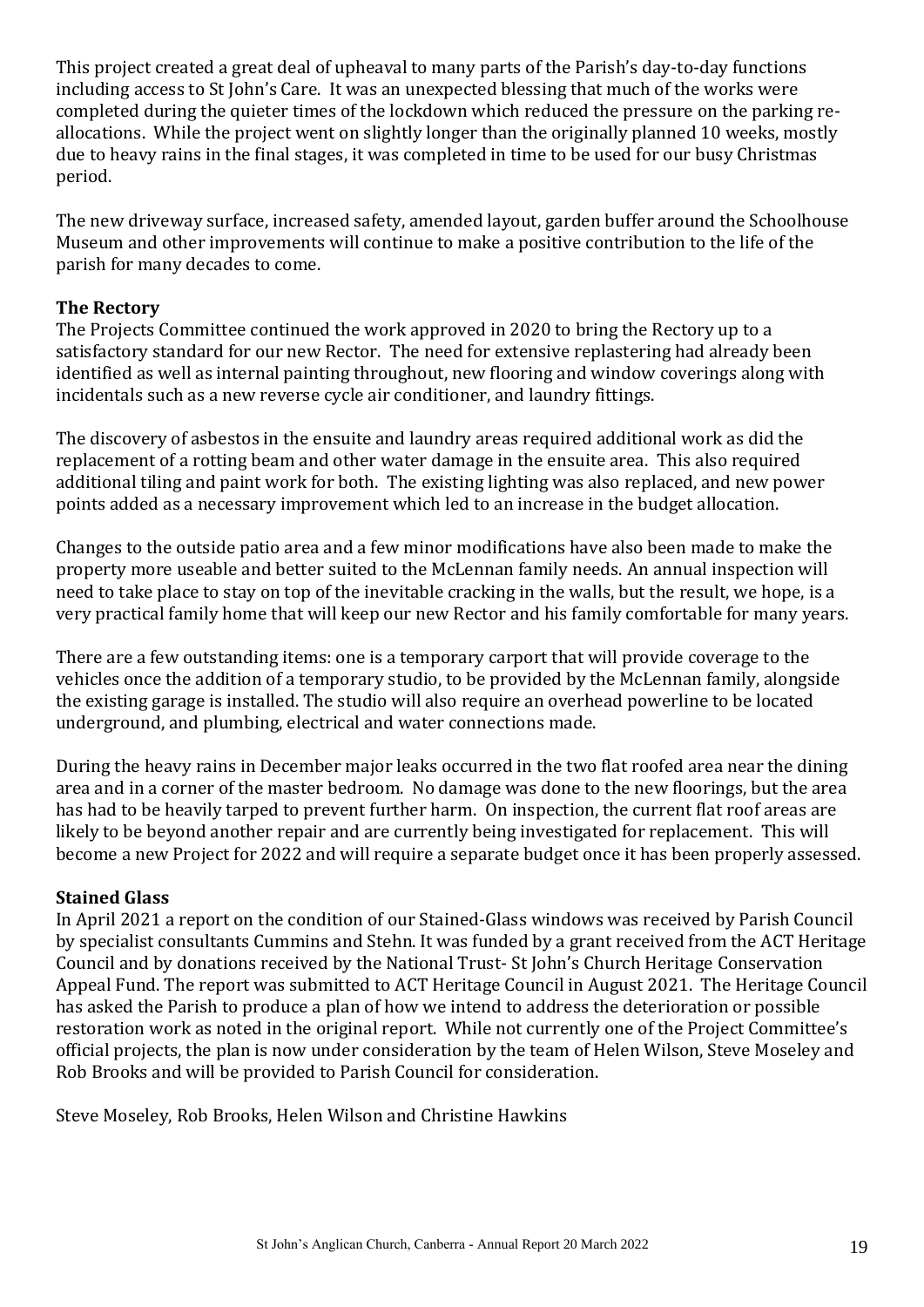This project created a great deal of upheaval to many parts of the Parish's day-to-day functions including access to St John's Care. It was an unexpected blessing that much of the works were completed during the quieter times of the lockdown which reduced the pressure on the parking reallocations. While the project went on slightly longer than the originally planned 10 weeks, mostly due to heavy rains in the final stages, it was completed in time to be used for our busy Christmas period.

The new driveway surface, increased safety, amended layout, garden buffer around the Schoolhouse Museum and other improvements will continue to make a positive contribution to the life of the parish for many decades to come.

#### **The Rectory**

The Projects Committee continued the work approved in 2020 to bring the Rectory up to a satisfactory standard for our new Rector. The need for extensive replastering had already been identified as well as internal painting throughout, new flooring and window coverings along with incidentals such as a new reverse cycle air conditioner, and laundry fittings.

The discovery of asbestos in the ensuite and laundry areas required additional work as did the replacement of a rotting beam and other water damage in the ensuite area. This also required additional tiling and paint work for both. The existing lighting was also replaced, and new power points added as a necessary improvement which led to an increase in the budget allocation.

Changes to the outside patio area and a few minor modifications have also been made to make the property more useable and better suited to the McLennan family needs. An annual inspection will need to take place to stay on top of the inevitable cracking in the walls, but the result, we hope, is a very practical family home that will keep our new Rector and his family comfortable for many years.

There are a few outstanding items: one is a temporary carport that will provide coverage to the vehicles once the addition of a temporary studio, to be provided by the McLennan family, alongside the existing garage is installed. The studio will also require an overhead powerline to be located underground, and plumbing, electrical and water connections made.

During the heavy rains in December major leaks occurred in the two flat roofed area near the dining area and in a corner of the master bedroom. No damage was done to the new floorings, but the area has had to be heavily tarped to prevent further harm. On inspection, the current flat roof areas are likely to be beyond another repair and are currently being investigated for replacement. This will become a new Project for 2022 and will require a separate budget once it has been properly assessed.

#### **Stained Glass**

In April 2021 a report on the condition of our Stained-Glass windows was received by Parish Council by specialist consultants Cummins and Stehn. It was funded by a grant received from the ACT Heritage Council and by donations received by the National Trust- St John's Church Heritage Conservation Appeal Fund. The report was submitted to ACT Heritage Council in August 2021. The Heritage Council has asked the Parish to produce a plan of how we intend to address the deterioration or possible restoration work as noted in the original report. While not currently one of the Project Committee's official projects, the plan is now under consideration by the team of Helen Wilson, Steve Moseley and Rob Brooks and will be provided to Parish Council for consideration.

Steve Moseley, Rob Brooks, Helen Wilson and Christine Hawkins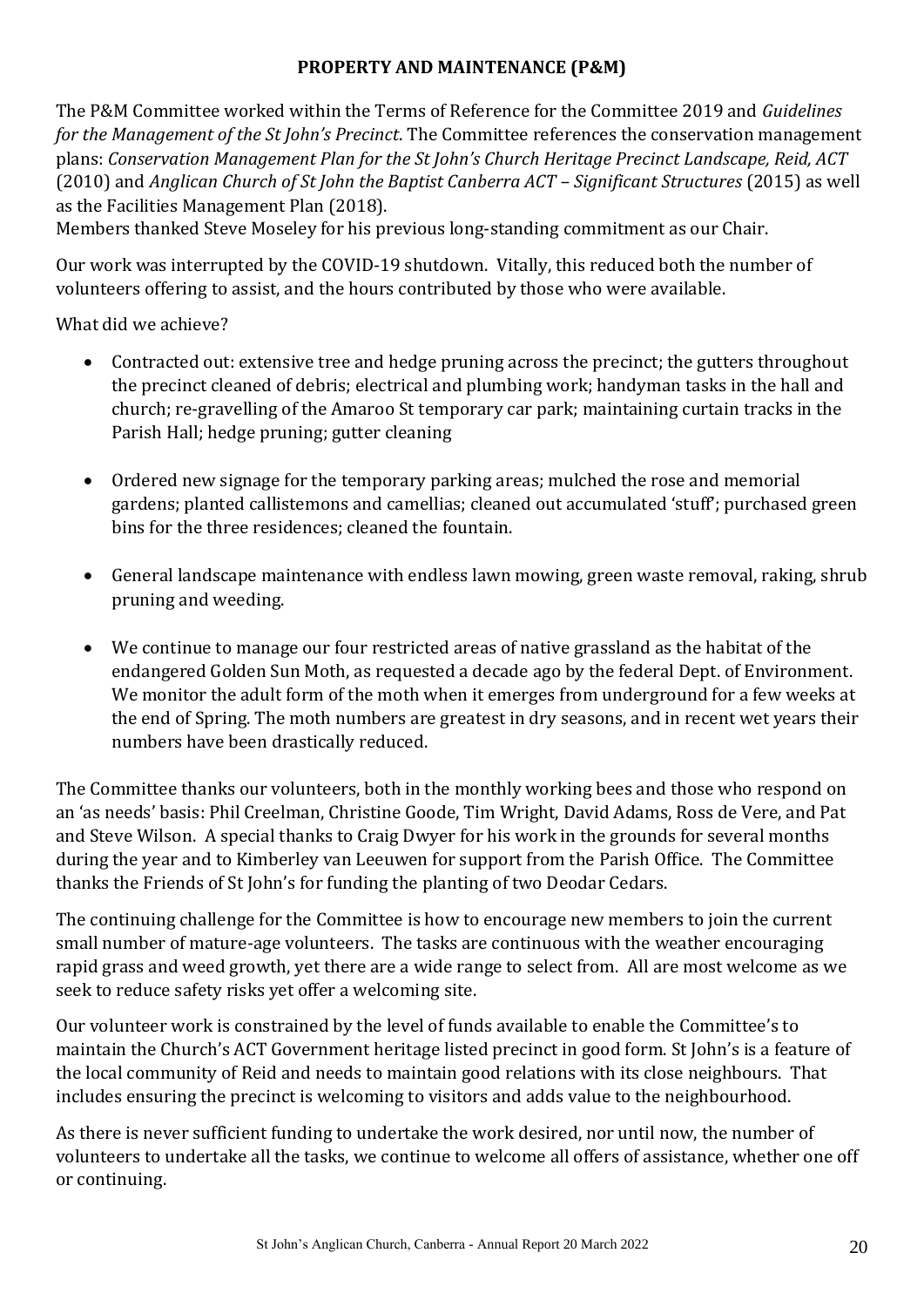#### **PROPERTY AND MAINTENANCE (P&M)**

The P&M Committee worked within the Terms of Reference for the Committee 2019 and *Guidelines for the Management of the St John's Precinct*. The Committee references the conservation management plans: *Conservation Management Plan for the St John's Church Heritage Precinct Landscape, Reid, ACT* (2010) and *Anglican Church of St John the Baptist Canberra ACT – Significant Structures* (2015) as well as the Facilities Management Plan (2018).

Members thanked Steve Moseley for his previous long-standing commitment as our Chair.

Our work was interrupted by the COVID-19 shutdown. Vitally, this reduced both the number of volunteers offering to assist, and the hours contributed by those who were available.

What did we achieve?

- Contracted out: extensive tree and hedge pruning across the precinct; the gutters throughout the precinct cleaned of debris; electrical and plumbing work; handyman tasks in the hall and church; re-gravelling of the Amaroo St temporary car park; maintaining curtain tracks in the Parish Hall; hedge pruning; gutter cleaning
- Ordered new signage for the temporary parking areas; mulched the rose and memorial gardens; planted callistemons and camellias; cleaned out accumulated 'stuff'; purchased green bins for the three residences; cleaned the fountain.
- General landscape maintenance with endless lawn mowing, green waste removal, raking, shrub pruning and weeding.
- We continue to manage our four restricted areas of native grassland as the habitat of the endangered Golden Sun Moth, as requested a decade ago by the federal Dept. of Environment. We monitor the adult form of the moth when it emerges from underground for a few weeks at the end of Spring. The moth numbers are greatest in dry seasons, and in recent wet years their numbers have been drastically reduced.

The Committee thanks our volunteers, both in the monthly working bees and those who respond on an 'as needs' basis: Phil Creelman, Christine Goode, Tim Wright, David Adams, Ross de Vere, and Pat and Steve Wilson. A special thanks to Craig Dwyer for his work in the grounds for several months during the year and to Kimberley van Leeuwen for support from the Parish Office. The Committee thanks the Friends of St John's for funding the planting of two Deodar Cedars.

The continuing challenge for the Committee is how to encourage new members to join the current small number of mature-age volunteers. The tasks are continuous with the weather encouraging rapid grass and weed growth, yet there are a wide range to select from. All are most welcome as we seek to reduce safety risks yet offer a welcoming site.

Our volunteer work is constrained by the level of funds available to enable the Committee's to maintain the Church's ACT Government heritage listed precinct in good form. St John's is a feature of the local community of Reid and needs to maintain good relations with its close neighbours. That includes ensuring the precinct is welcoming to visitors and adds value to the neighbourhood.

As there is never sufficient funding to undertake the work desired, nor until now, the number of volunteers to undertake all the tasks, we continue to welcome all offers of assistance, whether one off or continuing.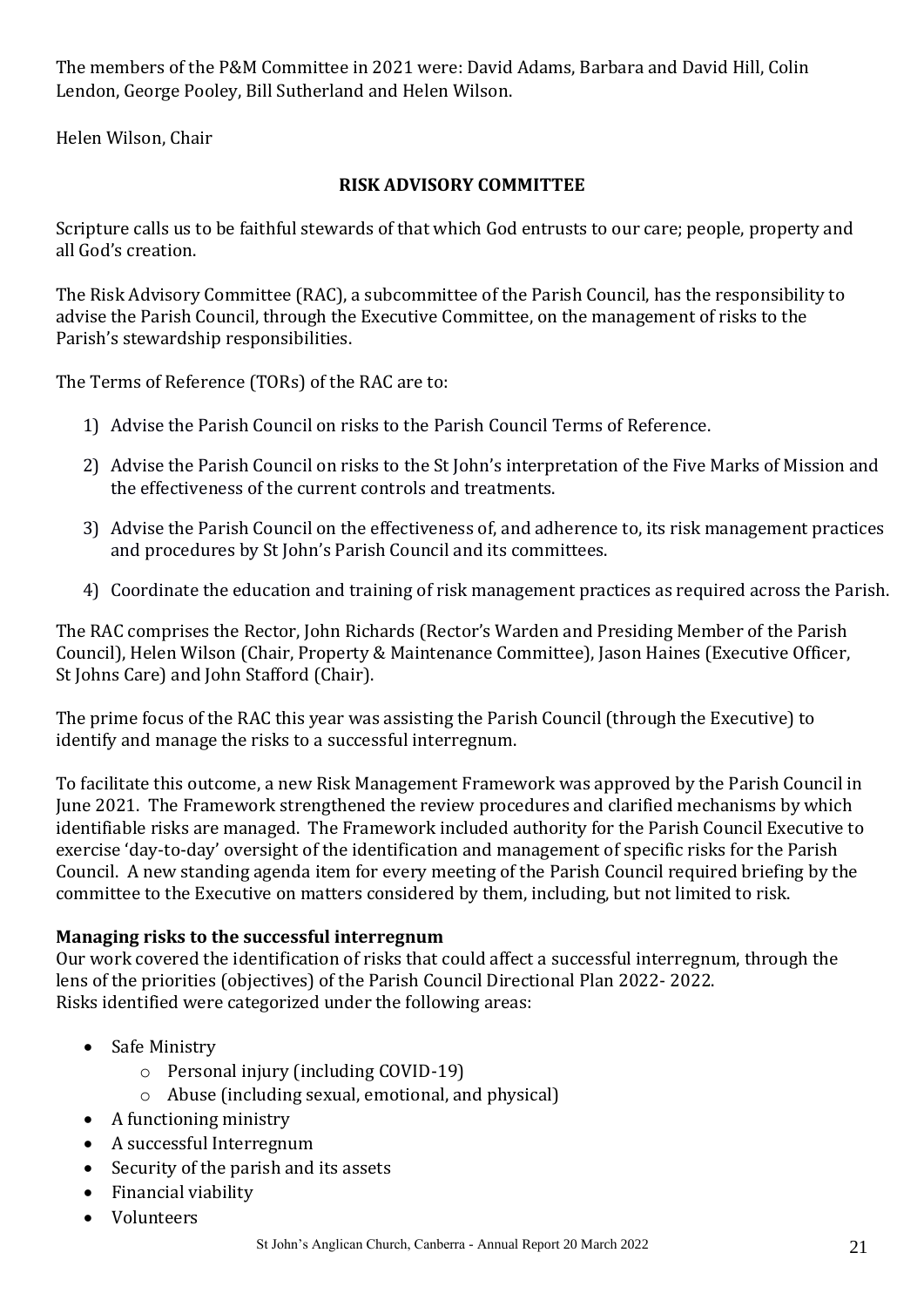The members of the P&M Committee in 2021 were: David Adams, Barbara and David Hill, Colin Lendon, George Pooley, Bill Sutherland and Helen Wilson.

Helen Wilson, Chair

#### **RISK ADVISORY COMMITTEE**

Scripture calls us to be faithful stewards of that which God entrusts to our care; people, property and all God's creation.

The Risk Advisory Committee (RAC), a subcommittee of the Parish Council, has the responsibility to advise the Parish Council, through the Executive Committee, on the management of risks to the Parish's stewardship responsibilities.

The Terms of Reference (TORs) of the RAC are to:

- 1) Advise the Parish Council on risks to the Parish Council Terms of Reference.
- 2) Advise the Parish Council on risks to the St John's interpretation of the Five Marks of Mission and the effectiveness of the current controls and treatments.
- 3) Advise the Parish Council on the effectiveness of, and adherence to, its risk management practices and procedures by St John's Parish Council and its committees.
- 4) Coordinate the education and training of risk management practices as required across the Parish.

The RAC comprises the Rector, John Richards (Rector's Warden and Presiding Member of the Parish Council), Helen Wilson (Chair, Property & Maintenance Committee), Jason Haines (Executive Officer, St Johns Care) and John Stafford (Chair).

The prime focus of the RAC this year was assisting the Parish Council (through the Executive) to identify and manage the risks to a successful interregnum.

To facilitate this outcome, a new Risk Management Framework was approved by the Parish Council in June 2021. The Framework strengthened the review procedures and clarified mechanisms by which identifiable risks are managed. The Framework included authority for the Parish Council Executive to exercise 'day-to-day' oversight of the identification and management of specific risks for the Parish Council. A new standing agenda item for every meeting of the Parish Council required briefing by the committee to the Executive on matters considered by them, including, but not limited to risk.

#### **Managing risks to the successful interregnum**

Our work covered the identification of risks that could affect a successful interregnum, through the lens of the priorities (objectives) of the Parish Council Directional Plan 2022- 2022. Risks identified were categorized under the following areas:

- Safe Ministry
	- o Personal injury (including COVID-19)
	- o Abuse (including sexual, emotional, and physical)
- A functioning ministry
- A successful Interregnum
- Security of the parish and its assets
- Financial viability
- Volunteers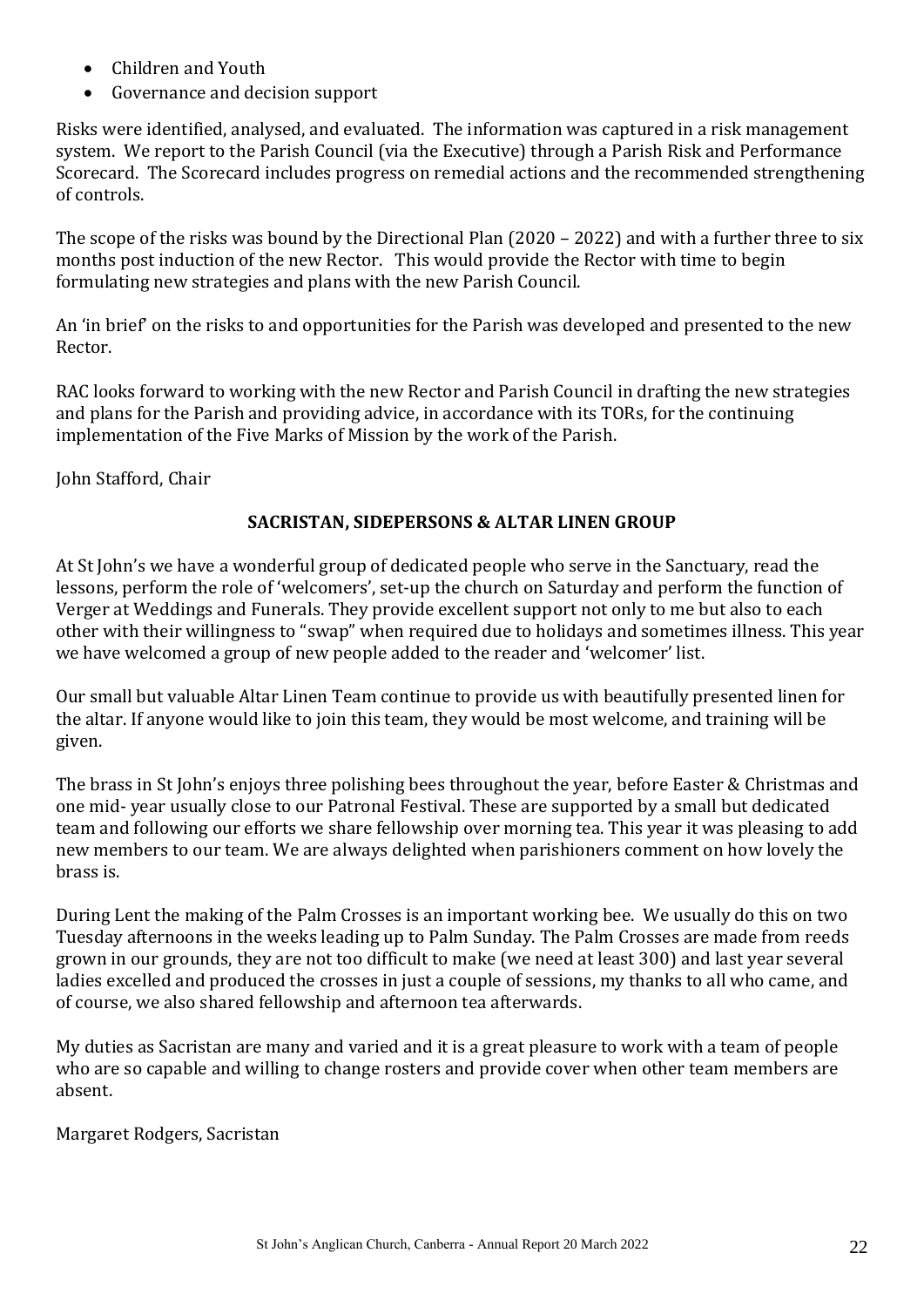- Children and Youth
- Governance and decision support

Risks were identified, analysed, and evaluated. The information was captured in a risk management system. We report to the Parish Council (via the Executive) through a Parish Risk and Performance Scorecard. The Scorecard includes progress on remedial actions and the recommended strengthening of controls.

The scope of the risks was bound by the Directional Plan (2020 – 2022) and with a further three to six months post induction of the new Rector. This would provide the Rector with time to begin formulating new strategies and plans with the new Parish Council.

An 'in brief' on the risks to and opportunities for the Parish was developed and presented to the new Rector.

RAC looks forward to working with the new Rector and Parish Council in drafting the new strategies and plans for the Parish and providing advice, in accordance with its TORs, for the continuing implementation of the Five Marks of Mission by the work of the Parish.

John Stafford, Chair

#### **SACRISTAN, SIDEPERSONS & ALTAR LINEN GROUP**

At St John's we have a wonderful group of dedicated people who serve in the Sanctuary, read the lessons, perform the role of 'welcomers', set-up the church on Saturday and perform the function of Verger at Weddings and Funerals. They provide excellent support not only to me but also to each other with their willingness to "swap" when required due to holidays and sometimes illness. This year we have welcomed a group of new people added to the reader and 'welcomer' list.

Our small but valuable Altar Linen Team continue to provide us with beautifully presented linen for the altar. If anyone would like to join this team, they would be most welcome, and training will be given.

The brass in St John's enjoys three polishing bees throughout the year, before Easter & Christmas and one mid- year usually close to our Patronal Festival. These are supported by a small but dedicated team and following our efforts we share fellowship over morning tea. This year it was pleasing to add new members to our team. We are always delighted when parishioners comment on how lovely the brass is.

During Lent the making of the Palm Crosses is an important working bee. We usually do this on two Tuesday afternoons in the weeks leading up to Palm Sunday. The Palm Crosses are made from reeds grown in our grounds, they are not too difficult to make (we need at least 300) and last year several ladies excelled and produced the crosses in just a couple of sessions, my thanks to all who came, and of course, we also shared fellowship and afternoon tea afterwards.

My duties as Sacristan are many and varied and it is a great pleasure to work with a team of people who are so capable and willing to change rosters and provide cover when other team members are absent.

Margaret Rodgers, Sacristan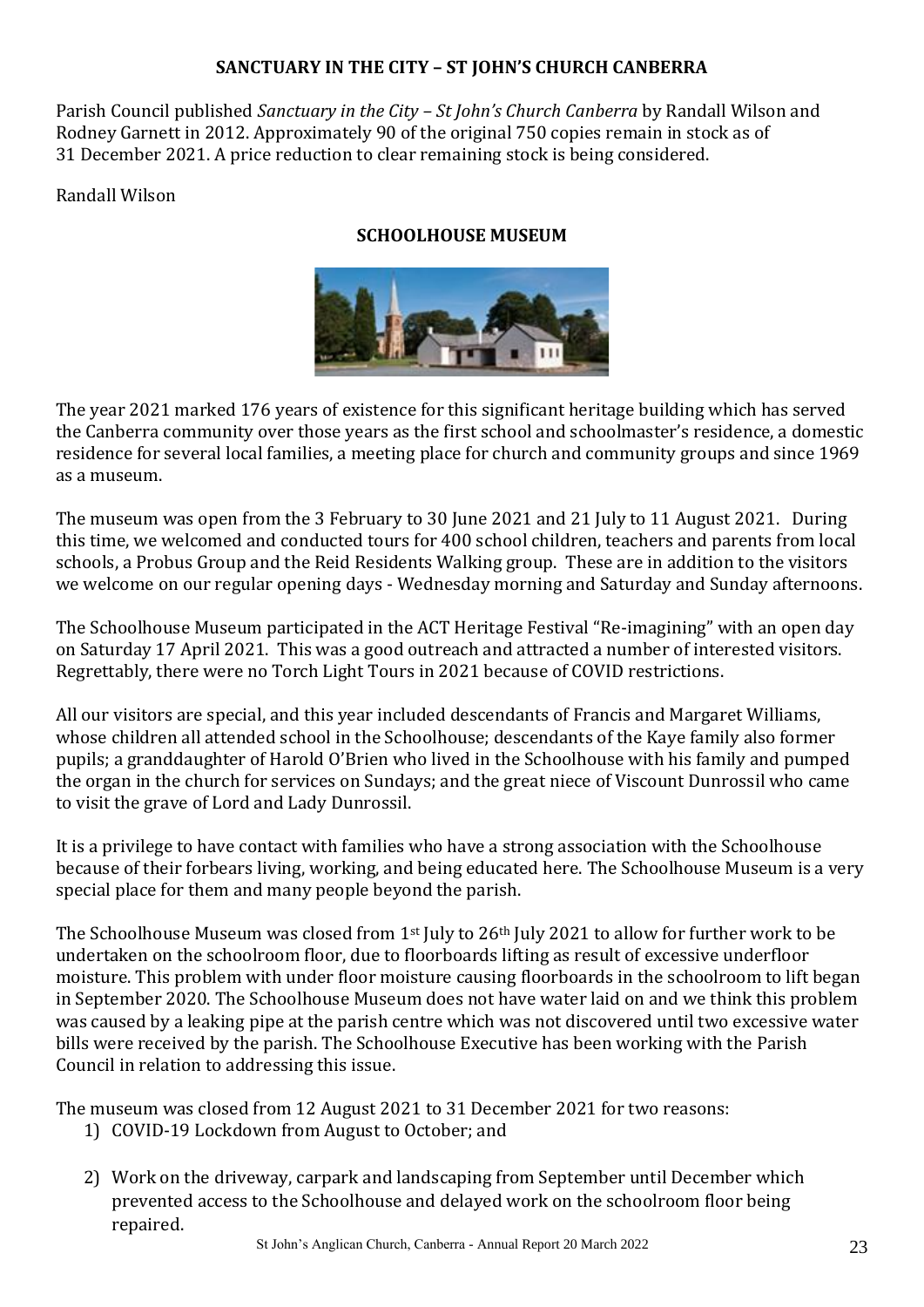#### **SANCTUARY IN THE CITY – ST JOHN'S CHURCH CANBERRA**

Parish Council published *Sanctuary in the City – St John's Church Canberra* by Randall Wilson and Rodney Garnett in 2012. Approximately 90 of the original 750 copies remain in stock as of 31 December 2021. A price reduction to clear remaining stock is being considered.

#### Randall Wilson

#### **SCHOOLHOUSE MUSEUM**



The year 2021 marked 176 years of existence for this significant heritage building which has served the Canberra community over those years as the first school and schoolmaster's residence, a domestic residence for several local families, a meeting place for church and community groups and since 1969 as a museum.

The museum was open from the 3 February to 30 June 2021 and 21 July to 11 August 2021. During this time, we welcomed and conducted tours for 400 school children, teachers and parents from local schools, a Probus Group and the Reid Residents Walking group. These are in addition to the visitors we welcome on our regular opening days - Wednesday morning and Saturday and Sunday afternoons.

The Schoolhouse Museum participated in the ACT Heritage Festival "Re-imagining" with an open day on Saturday 17 April 2021. This was a good outreach and attracted a number of interested visitors. Regrettably, there were no Torch Light Tours in 2021 because of COVID restrictions.

All our visitors are special, and this year included descendants of Francis and Margaret Williams, whose children all attended school in the Schoolhouse; descendants of the Kaye family also former pupils; a granddaughter of Harold O'Brien who lived in the Schoolhouse with his family and pumped the organ in the church for services on Sundays; and the great niece of Viscount Dunrossil who came to visit the grave of Lord and Lady Dunrossil.

It is a privilege to have contact with families who have a strong association with the Schoolhouse because of their forbears living, working, and being educated here. The Schoolhouse Museum is a very special place for them and many people beyond the parish.

The Schoolhouse Museum was closed from 1<sup>st</sup> July to 26<sup>th</sup> July 2021 to allow for further work to be undertaken on the schoolroom floor, due to floorboards lifting as result of excessive underfloor moisture. This problem with under floor moisture causing floorboards in the schoolroom to lift began in September 2020. The Schoolhouse Museum does not have water laid on and we think this problem was caused by a leaking pipe at the parish centre which was not discovered until two excessive water bills were received by the parish. The Schoolhouse Executive has been working with the Parish Council in relation to addressing this issue.

The museum was closed from 12 August 2021 to 31 December 2021 for two reasons:

- 1) COVID-19 Lockdown from August to October; and
- 2) Work on the driveway, carpark and landscaping from September until December which prevented access to the Schoolhouse and delayed work on the schoolroom floor being repaired.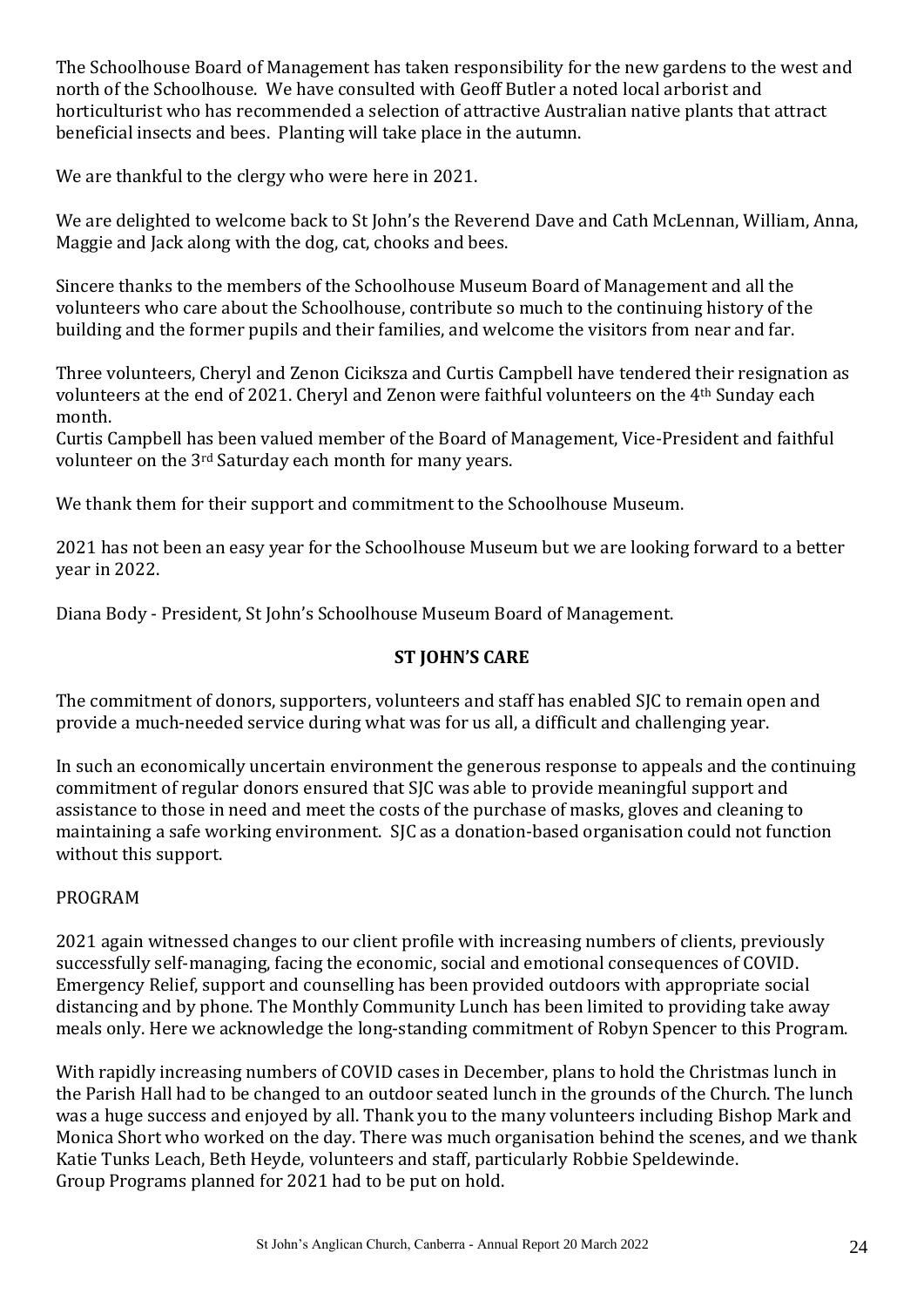The Schoolhouse Board of Management has taken responsibility for the new gardens to the west and north of the Schoolhouse. We have consulted with Geoff Butler a noted local arborist and horticulturist who has recommended a selection of attractive Australian native plants that attract beneficial insects and bees. Planting will take place in the autumn.

We are thankful to the clergy who were here in 2021.

We are delighted to welcome back to St John's the Reverend Dave and Cath McLennan, William, Anna, Maggie and Jack along with the dog, cat, chooks and bees.

Sincere thanks to the members of the Schoolhouse Museum Board of Management and all the volunteers who care about the Schoolhouse, contribute so much to the continuing history of the building and the former pupils and their families, and welcome the visitors from near and far.

Three volunteers, Cheryl and Zenon Ciciksza and Curtis Campbell have tendered their resignation as volunteers at the end of 2021. Cheryl and Zenon were faithful volunteers on the 4th Sunday each month.

Curtis Campbell has been valued member of the Board of Management, Vice-President and faithful volunteer on the 3rd Saturday each month for many years.

We thank them for their support and commitment to the Schoolhouse Museum.

2021 has not been an easy year for the Schoolhouse Museum but we are looking forward to a better year in 2022.

Diana Body - President, St John's Schoolhouse Museum Board of Management.

#### **ST JOHN'S CARE**

The commitment of donors, supporters, volunteers and staff has enabled SJC to remain open and provide a much-needed service during what was for us all, a difficult and challenging year.

In such an economically uncertain environment the generous response to appeals and the continuing commitment of regular donors ensured that SJC was able to provide meaningful support and assistance to those in need and meet the costs of the purchase of masks, gloves and cleaning to maintaining a safe working environment. SJC as a donation-based organisation could not function without this support.

#### PROGRAM

2021 again witnessed changes to our client profile with increasing numbers of clients, previously successfully self-managing, facing the economic, social and emotional consequences of COVID. Emergency Relief, support and counselling has been provided outdoors with appropriate social distancing and by phone. The Monthly Community Lunch has been limited to providing take away meals only. Here we acknowledge the long-standing commitment of Robyn Spencer to this Program.

With rapidly increasing numbers of COVID cases in December, plans to hold the Christmas lunch in the Parish Hall had to be changed to an outdoor seated lunch in the grounds of the Church. The lunch was a huge success and enjoyed by all. Thank you to the many volunteers including Bishop Mark and Monica Short who worked on the day. There was much organisation behind the scenes, and we thank Katie Tunks Leach, Beth Heyde, volunteers and staff, particularly Robbie Speldewinde. Group Programs planned for 2021 had to be put on hold.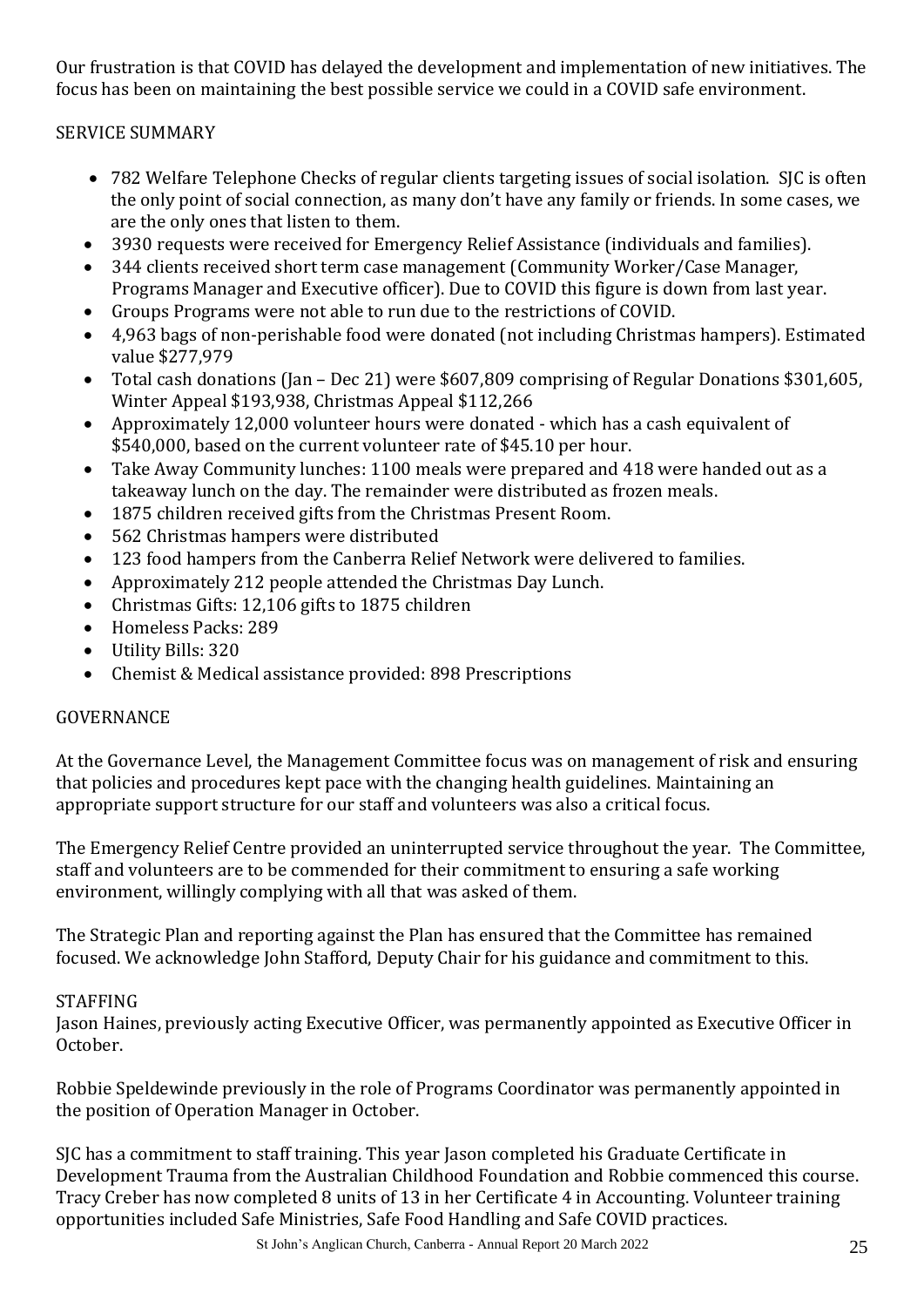Our frustration is that COVID has delayed the development and implementation of new initiatives. The focus has been on maintaining the best possible service we could in a COVID safe environment.

#### SERVICE SUMMARY

- 782 Welfare Telephone Checks of regular clients targeting issues of social isolation. SJC is often the only point of social connection, as many don't have any family or friends. In some cases, we are the only ones that listen to them.
- 3930 requests were received for Emergency Relief Assistance (individuals and families).
- 344 clients received short term case management (Community Worker/Case Manager, Programs Manager and Executive officer). Due to COVID this figure is down from last year.
- Groups Programs were not able to run due to the restrictions of COVID.
- 4,963 bags of non-perishable food were donated (not including Christmas hampers). Estimated value \$277,979
- Total cash donations (Jan Dec 21) were \$607,809 comprising of Regular Donations \$301,605, Winter Appeal \$193,938, Christmas Appeal \$112,266
- Approximately 12,000 volunteer hours were donated which has a cash equivalent of \$540,000, based on the current volunteer rate of \$45.10 per hour.
- Take Away Community lunches: 1100 meals were prepared and 418 were handed out as a takeaway lunch on the day. The remainder were distributed as frozen meals.
- 1875 children received gifts from the Christmas Present Room.
- 562 Christmas hampers were distributed
- 123 food hampers from the Canberra Relief Network were delivered to families.
- Approximately 212 people attended the Christmas Day Lunch.
- Christmas Gifts: 12,106 gifts to 1875 children
- Homeless Packs: 289
- Utility Bills: 320
- Chemist & Medical assistance provided: 898 Prescriptions

#### GOVERNANCE

At the Governance Level, the Management Committee focus was on management of risk and ensuring that policies and procedures kept pace with the changing health guidelines. Maintaining an appropriate support structure for our staff and volunteers was also a critical focus.

The Emergency Relief Centre provided an uninterrupted service throughout the year. The Committee, staff and volunteers are to be commended for their commitment to ensuring a safe working environment, willingly complying with all that was asked of them.

The Strategic Plan and reporting against the Plan has ensured that the Committee has remained focused. We acknowledge John Stafford, Deputy Chair for his guidance and commitment to this.

#### STAFFING

Jason Haines, previously acting Executive Officer, was permanently appointed as Executive Officer in October.

Robbie Speldewinde previously in the role of Programs Coordinator was permanently appointed in the position of Operation Manager in October.

SJC has a commitment to staff training. This year Jason completed his Graduate Certificate in Development Trauma from the Australian Childhood Foundation and Robbie commenced this course. Tracy Creber has now completed 8 units of 13 in her Certificate 4 in Accounting. Volunteer training opportunities included Safe Ministries, Safe Food Handling and Safe COVID practices.